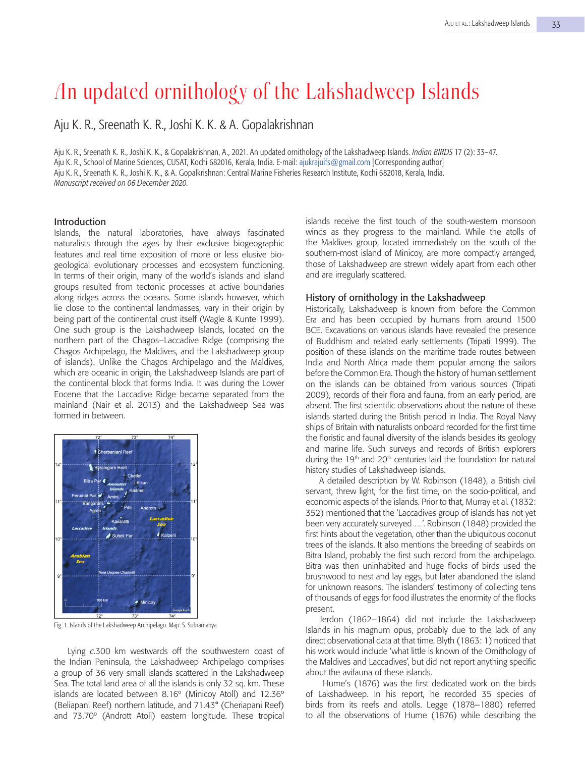# An updated ornithology of the Lakshadweep Islands

Aju K. R., Sreenath K. R., Joshi K. K. & A. Gopalakrishnan

Aju K. R., Sreenath K. R., Joshi K. K., & Gopalakrishnan, A., 2021. An updated ornithology of the Lakshadweep Islands. *Indian BIRDS* 17 (2): 33–47. Aju K. R., School of Marine Sciences, CUSAT, Kochi 682016, Kerala, India. E-mail: ajukrajuifs@gmail.com [Corresponding author] Aju K. R., Sreenath K. R., Joshi K. K., & A. Gopalkrishnan: Central Marine Fisheries Research Institute, Kochi 682018, Kerala, India. *Manuscript received on 06 December 2020*.

#### Introduction

Islands, the natural laboratories, have always fascinated naturalists through the ages by their exclusive biogeographic features and real time exposition of more or less elusive biogeological evolutionary processes and ecosystem functioning. In terms of their origin, many of the world's islands and island groups resulted from tectonic processes at active boundaries along ridges across the oceans. Some islands however, which lie close to the continental landmasses, vary in their origin by being part of the continental crust itself (Wagle & Kunte 1999). One such group is the Lakshadweep Islands, located on the northern part of the Chagos–Laccadive Ridge (comprising the Chagos Archipelago, the Maldives, and the Lakshadweep group of islands). Unlike the Chagos Archipelago and the Maldives, which are oceanic in origin, the Lakshadweep Islands are part of the continental block that forms India. It was during the Lower Eocene that the Laccadive Ridge became separated from the mainland (Nair et al. 2013) and the Lakshadweep Sea was formed in between.



Fig. 1. Islands of the Lakshadweep Archipelago. Map: S. Subramanya.

Lying *c*.300 km westwards off the southwestern coast of the Indian Peninsula, the Lakshadweep Archipelago comprises a group of 36 very small islands scattered in the Lakshadweep Sea. The total land area of all the islands is only 32 sq. km. These islands are located between 8.16º (Minicoy Atoll) and 12.36º (Beliapani Reef) northern latitude, and 71.43° (Cheriapani Reef) and 73.70º (Andrott Atoll) eastern longitude. These tropical

islands receive the first touch of the south-western monsoon winds as they progress to the mainland. While the atolls of the Maldives group, located immediately on the south of the southern-most island of Minicoy, are more compactly arranged, those of Lakshadweep are strewn widely apart from each other and are irregularly scattered.

## History of ornithology in the Lakshadweep

Historically, Lakshadweep is known from before the Common Era and has been occupied by humans from around 1500 BCE. Excavations on various islands have revealed the presence of Buddhism and related early settlements (Tripati 1999). The position of these islands on the maritime trade routes between India and North Africa made them popular among the sailors before the Common Era. Though the history of human settlement on the islands can be obtained from various sources (Tripati 2009), records of their flora and fauna, from an early period, are absent. The first scientific observations about the nature of these islands started during the British period in India. The Royal Navy ships of Britain with naturalists onboard recorded for the first time the floristic and faunal diversity of the islands besides its geology and marine life. Such surveys and records of British explorers during the 19<sup>th</sup> and 20<sup>th</sup> centuries laid the foundation for natural history studies of Lakshadweep islands.

A detailed description by W. Robinson (1848), a British civil servant, threw light, for the first time, on the socio-political, and economic aspects of the islands. Prior to that, Murray et al. (1832: 352) mentioned that the 'Laccadives group of islands has not yet been very accurately surveyed …'. Robinson (1848) provided the first hints about the vegetation, other than the ubiquitous coconut trees of the islands. It also mentions the breeding of seabirds on Bitra Island, probably the first such record from the archipelago. Bitra was then uninhabited and huge flocks of birds used the brushwood to nest and lay eggs, but later abandoned the island for unknown reasons. The islanders' testimony of collecting tens of thousands of eggs for food illustrates the enormity of the flocks present.

Jerdon (1862–1864) did not include the Lakshadweep Islands in his magnum opus, probably due to the lack of any direct observational data at that time. Blyth (1863: 1) noticed that his work would include 'what little is known of the Ornithology of the Maldives and Laccadives', but did not report anything specific about the avifauna of these islands.

Hume's (1876) was the first dedicated work on the birds of Lakshadweep. In his report, he recorded 35 species of birds from its reefs and atolls. Legge (1878–1880) referred to all the observations of Hume (1876) while describing the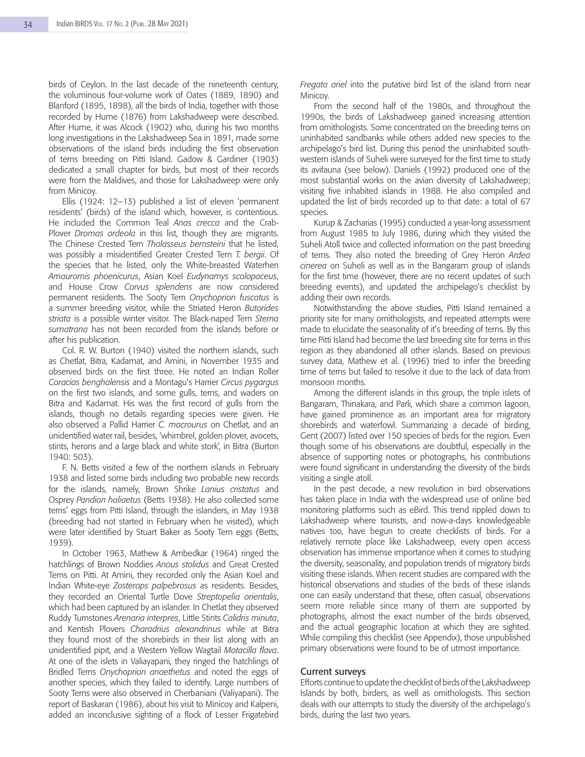birds of Ceylon. In the last decade of the nineteenth century, the voluminous four-volume work of Oates (1889, 1890) and Blanford (1895, 1898), all the birds of India, together with those recorded by Hume (1876) from Lakshadweep were described. After Hume, it was Alcock (1902) who, during his two months long investigations in the Lakshadweep Sea in 1891, made some observations of the island birds including the first observation of terns breeding on Pitti Island. Gadow & Gardiner (1903) dedicated a small chapter for birds, but most of their records were from the Maldives, and those for Lakshadweep were only from Minicoy.

Ellis (1924: 12–13) published a list of eleven 'permanent residents' (birds) of the island which, however, is contentious. He included the Common Teal *Anas crecca* and the Crab-Plover *Dromas ardeola* in this list, though they are migrants. The Chinese Crested Tern *Thalasseus bernsteini* that he listed, was possibly a misidentified Greater Crested Tern *T. bergii*. Of the species that he listed, only the White-breasted Waterhen *Amaurornis phoenicurus*, Asian Koel *Eudynamys scolopaceus*, and House Crow *Corvus splendens* are now considered permanent residents. The Sooty Tern *Onychoprion fuscatus* is a summer breeding visitor, while the Striated Heron *Butorides striata* is a possible winter visitor. The Black-naped Tern *Sterna sumatrana* has not been recorded from the islands before or after his publication.

Col. R. W. Burton (1940) visited the northern islands, such as Chetlat, Bitra, Kadamat, and Amini, in November 1935 and observed birds on the first three. He noted an Indian Roller *Coracias benghalensis* and a Montagu's Harrier *Circus pygargus* on the first two islands, and some gulls, terns, and waders on Bitra and Kadamat. His was the first record of gulls from the islands, though no details regarding species were given. He also observed a Pallid Harrier *C. macrourus* on Chetlat, and an unidentified water rail, besides, 'whimbrel, golden plover, avocets, stints, herons and a large black and white stork', in Bitra (Burton 1940: 503).

F. N. Betts visited a few of the northern islands in February 1938 and listed some birds including two probable new records for the islands, namely, Brown Shrike *Lanius cristatus* and Osprey *Pandion haliaetus* (Betts 1938). He also collected some terns' eggs from Pitti Island, through the islanders, in May 1938 (breeding had not started in February when he visited), which were later identified by Stuart Baker as Sooty Tern eggs (Betts, 1939).

In October 1963, Mathew & Ambedkar (1964) ringed the hatchlings of Brown Noddies *Anous stolidus* and Great Crested Terns on Pitti. At Amini, they recorded only the Asian Koel and Indian White-eye *Zosterops palpebrosus* as residents. Besides, they recorded an Oriental Turtle Dove *Streptopelia orientalis*, which had been captured by an islander. In Chetlat they observed Ruddy Turnstones *Arenaria interpres*, Little Stints *Calidris minuta*, and Kentish Plovers *Charadrius alexandrinus* while at Bitra they found most of the shorebirds in their list along with an unidentified pipit, and a Western Yellow Wagtail *Motacilla flava*. At one of the islets in Valiayapani, they ringed the hatchlings of Bridled Terns *Onychoprion anaethetus* and noted the eggs of another species, which they failed to identify. Large numbers of Sooty Terns were also observed in Cherbaniani (Valiyapani). The report of Baskaran (1986), about his visit to Minicoy and Kalpeni, added an inconclusive sighting of a flock of Lesser Frigatebird

*Fregata ariel* into the putative bird list of the island from near Minicoy.

From the second half of the 1980s, and throughout the 1990s, the birds of Lakshadweep gained increasing attention from ornithologists. Some concentrated on the breeding terns on uninhabited sandbanks while others added new species to the archipelago's bird list. During this period the uninhabited southwestern islands of Suheli were surveyed for the first time to study its avifauna (see below). Daniels (1992) produced one of the most substantial works on the avian diversity of Lakshadweep; visiting five inhabited islands in 1988. He also compiled and updated the list of birds recorded up to that date: a total of 67 species.

Kurup & Zacharias (1995) conducted a year-long assessment from August 1985 to July 1986, during which they visited the Suheli Atoll twice and collected information on the past breeding of terns. They also noted the breeding of Grey Heron *Ardea cinerea* on Suheli as well as in the Bangaram group of islands for the first time (however, there are no recent updates of such breeding events), and updated the archipelago's checklist by adding their own records.

Notwithstanding the above studies, Pitti Island remained a priority site for many ornithologists, and repeated attempts were made to elucidate the seasonality of it's breeding of terns. By this time Pitti Island had become the last breeding site for terns in this region as they abandoned all other islands. Based on previous survey data, Mathew et al. (1996) tried to infer the breeding time of terns but failed to resolve it due to the lack of data from monsoon months.

Among the different islands in this group, the triple islets of Bangaram, Thinakara, and Parli, which share a common lagoon, have gained prominence as an important area for migratory shorebirds and waterfowl. Summarizing a decade of birding, Gent (2007) listed over 150 species of birds for the region. Even though some of his observations are doubtful, especially in the absence of supporting notes or photographs, his contributions were found significant in understanding the diversity of the birds visiting a single atoll.

In the past decade, a new revolution in bird observations has taken place in India with the widespread use of online bird monitoring platforms such as eBird. This trend rippled down to Lakshadweep where tourists, and now-a-days knowledgeable natives too, have begun to create checklists of birds. For a relatively remote place like Lakshadweep, every open access observation has immense importance when it comes to studying the diversity, seasonality, and population trends of migratory birds visiting these islands. When recent studies are compared with the historical observations and studies of the birds of these islands one can easily understand that these, often casual, observations seem more reliable since many of them are supported by photographs, almost the exact number of the birds observed, and the actual geographic location at which they are sighted. While compiling this checklist (see Appendix), those unpublished primary observations were found to be of utmost importance.

#### Current surveys

Efforts continue to update the checklist of birds of the Lakshadweep Islands by both, birders, as well as ornithologists. This section deals with our attempts to study the diversity of the archipelago's birds, during the last two years.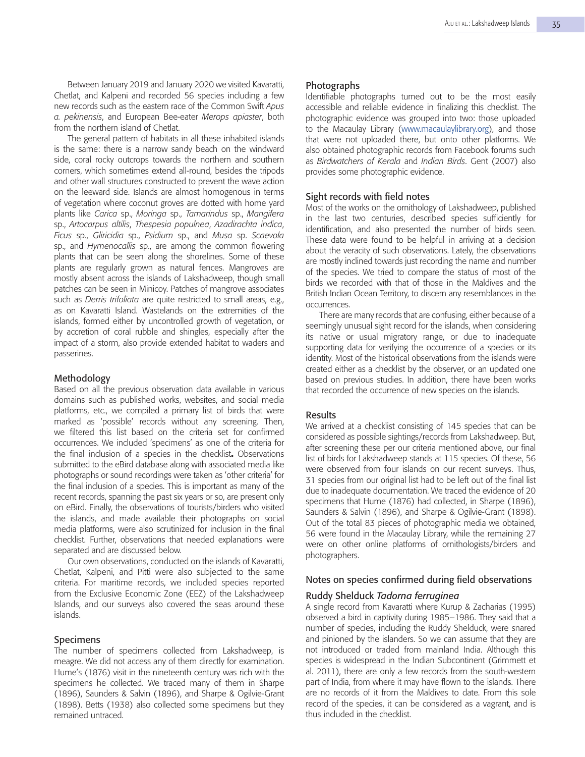Between January 2019 and January 2020 we visited Kavaratti, Chetlat, and Kalpeni and recorded 56 species including a few new records such as the eastern race of the Common Swift *Apus a. pekinensis*, and European Bee-eater *Merops apiaster*, both from the northern island of Chetlat.

The general pattern of habitats in all these inhabited islands is the same: there is a narrow sandy beach on the windward side, coral rocky outcrops towards the northern and southern corners, which sometimes extend all-round, besides the tripods and other wall structures constructed to prevent the wave action on the leeward side. Islands are almost homogenous in terms of vegetation where coconut groves are dotted with home yard plants like *Carica* sp., *Moringa* sp., *Tamarindus* sp., *Mangifera* sp., *Artocarpus altilis*, *Thespesia populnea*, *Azadirachta indica*, *Ficus* sp., *Gliricidia* sp., *Psidium* sp., and *Musa* sp. *Scaevola* sp., and *Hymenocallis* sp., are among the common flowering plants that can be seen along the shorelines. Some of these plants are regularly grown as natural fences. Mangroves are mostly absent across the islands of Lakshadweep, though small patches can be seen in Minicoy. Patches of mangrove associates such as *Derris trifoliata* are quite restricted to small areas, e.g., as on Kavaratti Island. Wastelands on the extremities of the islands, formed either by uncontrolled growth of vegetation, or by accretion of coral rubble and shingles, especially after the impact of a storm, also provide extended habitat to waders and passerines.

# Methodology

Based on all the previous observation data available in various domains such as published works, websites, and social media platforms, etc., we compiled a primary list of birds that were marked as 'possible' records without any screening. Then, we filtered this list based on the criteria set for confirmed occurrences. We included 'specimens' as one of the criteria for the final inclusion of a species in the checklist**.** Observations submitted to the eBird database along with associated media like photographs or sound recordings were taken as 'other criteria' for the final inclusion of a species. This is important as many of the recent records, spanning the past six years or so, are present only on eBird. Finally, the observations of tourists/birders who visited the islands, and made available their photographs on social media platforms, were also scrutinized for inclusion in the final checklist. Further, observations that needed explanations were separated and are discussed below.

Our own observations, conducted on the islands of Kavaratti, Chetlat, Kalpeni, and Pitti were also subjected to the same criteria. For maritime records, we included species reported from the Exclusive Economic Zone (EEZ) of the Lakshadweep Islands, and our surveys also covered the seas around these islands.

## Specimens

The number of specimens collected from Lakshadweep, is meagre. We did not access any of them directly for examination. Hume's (1876) visit in the nineteenth century was rich with the specimens he collected. We traced many of them in Sharpe (1896), Saunders & Salvin (1896), and Sharpe & Ogilvie-Grant (1898). Betts (1938) also collected some specimens but they remained untraced.

#### Photographs

Identifiable photographs turned out to be the most easily accessible and reliable evidence in finalizing this checklist. The photographic evidence was grouped into two: those uploaded to the Macaulay Library (www.macaulaylibrary.org), and those that were not uploaded there, but onto other platforms. We also obtained photographic records from Facebook forums such as *Birdwatchers of Kerala* and *Indian Birds*. Gent (2007) also provides some photographic evidence.

## Sight records with field notes

Most of the works on the ornithology of Lakshadweep, published in the last two centuries, described species sufficiently for identification, and also presented the number of birds seen. These data were found to be helpful in arriving at a decision about the veracity of such observations. Lately, the observations are mostly inclined towards just recording the name and number of the species. We tried to compare the status of most of the birds we recorded with that of those in the Maldives and the British Indian Ocean Territory, to discern any resemblances in the occurrences.

There are many records that are confusing, either because of a seemingly unusual sight record for the islands, when considering its native or usual migratory range, or due to inadequate supporting data for verifying the occurrence of a species or its identity. Most of the historical observations from the islands were created either as a checklist by the observer, or an updated one based on previous studies. In addition, there have been works that recorded the occurrence of new species on the islands.

# **Results**

We arrived at a checklist consisting of 145 species that can be considered as possible sightings/records from Lakshadweep. But, after screening these per our criteria mentioned above, our final list of birds for Lakshadweep stands at 115 species. Of these, 56 were observed from four islands on our recent surveys. Thus, 31 species from our original list had to be left out of the final list due to inadequate documentation. We traced the evidence of 20 specimens that Hume (1876) had collected, in Sharpe (1896), Saunders & Salvin (1896), and Sharpe & Ogilvie-Grant (1898). Out of the total 83 pieces of photographic media we obtained, 56 were found in the Macaulay Library, while the remaining 27 were on other online platforms of ornithologists/birders and photographers.

## Notes on species confirmed during field observations

#### Ruddy Shelduck *Tadorna ferruginea*

A single record from Kavaratti where Kurup & Zacharias (1995) observed a bird in captivity during 1985–1986. They said that a number of species, including the Ruddy Shelduck, were snared and pinioned by the islanders. So we can assume that they are not introduced or traded from mainland India. Although this species is widespread in the Indian Subcontinent (Grimmett et al. 2011), there are only a few records from the south-western part of India, from where it may have flown to the islands. There are no records of it from the Maldives to date. From this sole record of the species, it can be considered as a vagrant, and is thus included in the checklist.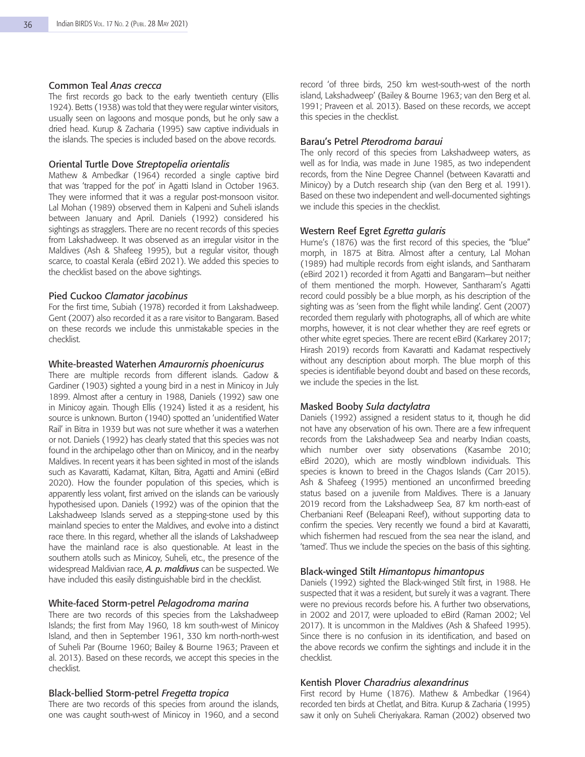#### Common Teal *Anas crecca*

The first records go back to the early twentieth century (Ellis 1924). Betts (1938) was told that they were regular winter visitors, usually seen on lagoons and mosque ponds, but he only saw a dried head. Kurup & Zacharia (1995) saw captive individuals in the islands. The species is included based on the above records.

## Oriental Turtle Dove *Streptopelia orientalis*

Mathew & Ambedkar (1964) recorded a single captive bird that was 'trapped for the pot' in Agatti Island in October 1963. They were informed that it was a regular post-monsoon visitor. Lal Mohan (1989) observed them in Kalpeni and Suheli islands between January and April. Daniels (1992) considered his sightings as stragglers. There are no recent records of this species from Lakshadweep. It was observed as an irregular visitor in the Maldives (Ash & Shafeeg 1995), but a regular visitor, though scarce, to coastal Kerala (eBird 2021). We added this species to the checklist based on the above sightings.

# Pied Cuckoo *Clamator jacobinus*

For the first time, Subiah (1978) recorded it from Lakshadweep. Gent (2007) also recorded it as a rare visitor to Bangaram. Based on these records we include this unmistakable species in the checklist.

## White-breasted Waterhen *Amaurornis phoenicurus*

There are multiple records from different islands. Gadow & Gardiner (1903) sighted a young bird in a nest in Minicoy in July 1899. Almost after a century in 1988, Daniels (1992) saw one in Minicoy again. Though Ellis (1924) listed it as a resident, his source is unknown. Burton (1940) spotted an 'unidentified Water Rail' in Bitra in 1939 but was not sure whether it was a waterhen or not. Daniels (1992) has clearly stated that this species was not found in the archipelago other than on Minicoy, and in the nearby Maldives. In recent years it has been sighted in most of the islands such as Kavaratti, Kadamat, Kiltan, Bitra, Agatti and Amini (eBird 2020). How the founder population of this species, which is apparently less volant, first arrived on the islands can be variously hypothesised upon. Daniels (1992) was of the opinion that the Lakshadweep Islands served as a stepping-stone used by this mainland species to enter the Maldives, and evolve into a distinct race there. In this regard, whether all the islands of Lakshadweep have the mainland race is also questionable. At least in the southern atolls such as Minicoy, Suheli, etc., the presence of the widespread Maldivian race, *A. p. maldivus* can be suspected. We have included this easily distinguishable bird in the checklist.

## White-faced Storm-petrel *Pelagodroma marina*

There are two records of this species from the Lakshadweep Islands; the first from May 1960, 18 km south-west of Minicoy Island, and then in September 1961, 330 km north-north-west of Suheli Par (Bourne 1960; Bailey & Bourne 1963; Praveen et al. 2013). Based on these records, we accept this species in the checklist.

## Black-bellied Storm-petrel *Fregetta tropica*

There are two records of this species from around the islands, one was caught south-west of Minicoy in 1960, and a second record 'of three birds, 250 km west-south-west of the north island, Lakshadweep' (Bailey & Bourne 1963; van den Berg et al. 1991; Praveen et al. 2013). Based on these records, we accept this species in the checklist.

## Barau's Petrel *Pterodroma baraui*

The only record of this species from Lakshadweep waters, as well as for India, was made in June 1985, as two independent records, from the Nine Degree Channel (between Kavaratti and Minicoy) by a Dutch research ship (van den Berg et al. 1991). Based on these two independent and well-documented sightings we include this species in the checklist.

## Western Reef Egret *Egretta gularis*

Hume's (1876) was the first record of this species, the "blue" morph, in 1875 at Bitra. Almost after a century, Lal Mohan (1989) had multiple records from eight islands, and Santharam (eBird 2021) recorded it from Agatti and Bangaram—but neither of them mentioned the morph. However, Santharam's Agatti record could possibly be a blue morph, as his description of the sighting was as 'seen from the flight while landing'. Gent (2007) recorded them regularly with photographs, all of which are white morphs, however, it is not clear whether they are reef egrets or other white egret species. There are recent eBird (Karkarey 2017; Hirash 2019) records from Kavaratti and Kadamat respectively without any description about morph. The blue morph of this species is identifiable beyond doubt and based on these records, we include the species in the list.

#### Masked Booby *Sula dactylatra*

Daniels (1992) assigned a resident status to it, though he did not have any observation of his own. There are a few infrequent records from the Lakshadweep Sea and nearby Indian coasts, which number over sixty observations (Kasambe 2010; eBird 2020), which are mostly windblown individuals. This species is known to breed in the Chagos Islands (Carr 2015). Ash & Shafeeg (1995) mentioned an unconfirmed breeding status based on a juvenile from Maldives. There is a January 2019 record from the Lakshadweep Sea, 87 km north-east of Cherbaniani Reef (Beleapani Reef), without supporting data to confirm the species. Very recently we found a bird at Kavaratti, which fishermen had rescued from the sea near the island, and 'tamed'. Thus we include the species on the basis of this sighting.

#### Black-winged Stilt *Himantopus himantopus*

Daniels (1992) sighted the Black-winged Stilt first, in 1988. He suspected that it was a resident, but surely it was a vagrant. There were no previous records before his. A further two observations, in 2002 and 2017, were uploaded to eBird (Raman 2002; Vel 2017). It is uncommon in the Maldives (Ash & Shafeed 1995). Since there is no confusion in its identification, and based on the above records we confirm the sightings and include it in the checklist.

# Kentish Plover *Charadrius alexandrinus*

First record by Hume (1876). Mathew & Ambedkar (1964) recorded ten birds at Chetlat, and Bitra. Kurup & Zacharia (1995) saw it only on Suheli Cheriyakara. Raman (2002) observed two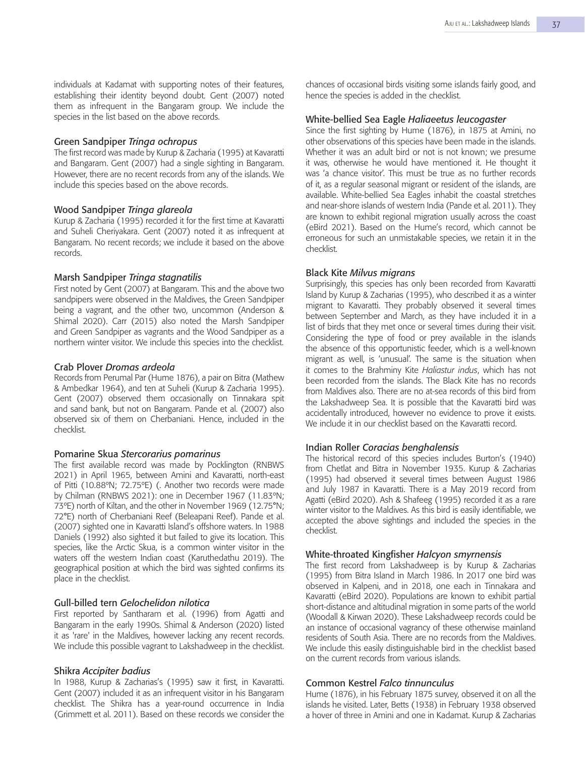individuals at Kadamat with supporting notes of their features, establishing their identity beyond doubt. Gent (2007) noted them as infrequent in the Bangaram group. We include the species in the list based on the above records.

## Green Sandpiper *Tringa ochropus*

The first record was made by Kurup & Zacharia (1995) at Kavaratti and Bangaram. Gent (2007) had a single sighting in Bangaram. However, there are no recent records from any of the islands. We include this species based on the above records.

## Wood Sandpiper *Tringa glareola*

Kurup & Zacharia (1995) recorded it for the first time at Kavaratti and Suheli Cheriyakara. Gent (2007) noted it as infrequent at Bangaram. No recent records; we include it based on the above records.

## Marsh Sandpiper *Tringa stagnatilis*

First noted by Gent (2007) at Bangaram. This and the above two sandpipers were observed in the Maldives, the Green Sandpiper being a vagrant, and the other two, uncommon (Anderson & Shimal 2020). Carr (2015) also noted the Marsh Sandpiper and Green Sandpiper as vagrants and the Wood Sandpiper as a northern winter visitor. We include this species into the checklist.

## Crab Plover *Dromas ardeola*

Records from Perumal Par (Hume 1876), a pair on Bitra (Mathew & Ambedkar 1964), and ten at Suheli (Kurup & Zacharia 1995). Gent (2007) observed them occasionally on Tinnakara spit and sand bank, but not on Bangaram. Pande et al. (2007) also observed six of them on Cherbaniani. Hence, included in the checklist.

#### Pomarine Skua *Stercorarius pomarinus*

The first available record was made by Pocklington (RNBWS 2021) in April 1965, between Amini and Kavaratti, north-east of Pitti (10.88ºN; 72.75ºE) (. Another two records were made by Chilman (RNBWS 2021): one in December 1967 (11.83ºN; 73ºE) north of Kiltan, and the other in November 1969 (12.75°N; 72°E) north of Cherbaniani Reef (Beleapani Reef). Pande et al. (2007) sighted one in Kavaratti Island's offshore waters. In 1988 Daniels (1992) also sighted it but failed to give its location. This species, like the Arctic Skua, is a common winter visitor in the waters off the western Indian coast (Karuthedathu 2019). The geographical position at which the bird was sighted confirms its place in the checklist.

#### Gull-billed tern *Gelochelidon nilotica*

First reported by Santharam et al. (1996) from Agatti and Bangaram in the early 1990s. Shimal & Anderson (2020) listed it as 'rare' in the Maldives, however lacking any recent records. We include this possible vagrant to Lakshadweep in the checklist.

#### Shikra *Accipiter badius*

In 1988, Kurup & Zacharias's (1995) saw it first, in Kavaratti. Gent (2007) included it as an infrequent visitor in his Bangaram checklist. The Shikra has a year-round occurrence in India (Grimmett et al. 2011). Based on these records we consider the

chances of occasional birds visiting some islands fairly good, and hence the species is added in the checklist.

## White-bellied Sea Eagle *Haliaeetus leucogaster*

Since the first sighting by Hume (1876), in 1875 at Amini, no other observations of this species have been made in the islands. Whether it was an adult bird or not is not known; we presume it was, otherwise he would have mentioned it. He thought it was 'a chance visitor'. This must be true as no further records of it, as a regular seasonal migrant or resident of the islands, are available. White-bellied Sea Eagles inhabit the coastal stretches and near-shore islands of western India (Pande et al. 2011). They are known to exhibit regional migration usually across the coast (eBird 2021). Based on the Hume's record, which cannot be erroneous for such an unmistakable species, we retain it in the checklist.

# Black Kite *Milvus migrans*

Surprisingly, this species has only been recorded from Kavaratti Island by Kurup & Zacharias (1995), who described it as a winter migrant to Kavaratti. They probably observed it several times between September and March, as they have included it in a list of birds that they met once or several times during their visit. Considering the type of food or prey available in the islands the absence of this opportunistic feeder, which is a well-known migrant as well, is 'unusual'. The same is the situation when it comes to the Brahminy Kite *Haliastur indus*, which has not been recorded from the islands. The Black Kite has no records from Maldives also. There are no at-sea records of this bird from the Lakshadweep Sea. It is possible that the Kavaratti bird was accidentally introduced, however no evidence to prove it exists. We include it in our checklist based on the Kavaratti record.

## Indian Roller *Coracias benghalensis*

The historical record of this species includes Burton's (1940) from Chetlat and Bitra in November 1935. Kurup & Zacharias (1995) had observed it several times between August 1986 and July 1987 in Kavaratti. There is a May 2019 record from Agatti (eBird 2020). Ash & Shafeeg (1995) recorded it as a rare winter visitor to the Maldives. As this bird is easily identifiable, we accepted the above sightings and included the species in the checklist.

#### White-throated Kingfisher *Halcyon smyrnensis*

The first record from Lakshadweep is by Kurup & Zacharias (1995) from Bitra Island in March 1986. In 2017 one bird was observed in Kalpeni, and in 2018, one each in Tinnakara and Kavaratti (eBird 2020). Populations are known to exhibit partial short-distance and altitudinal migration in some parts of the world (Woodall & Kirwan 2020). These Lakshadweep records could be an instance of occasional vagrancy of these otherwise mainland residents of South Asia. There are no records from the Maldives. We include this easily distinguishable bird in the checklist based on the current records from various islands.

# Common Kestrel *Falco tinnunculus*

Hume (1876), in his February 1875 survey, observed it on all the islands he visited. Later, Betts (1938) in February 1938 observed a hover of three in Amini and one in Kadamat. Kurup & Zacharias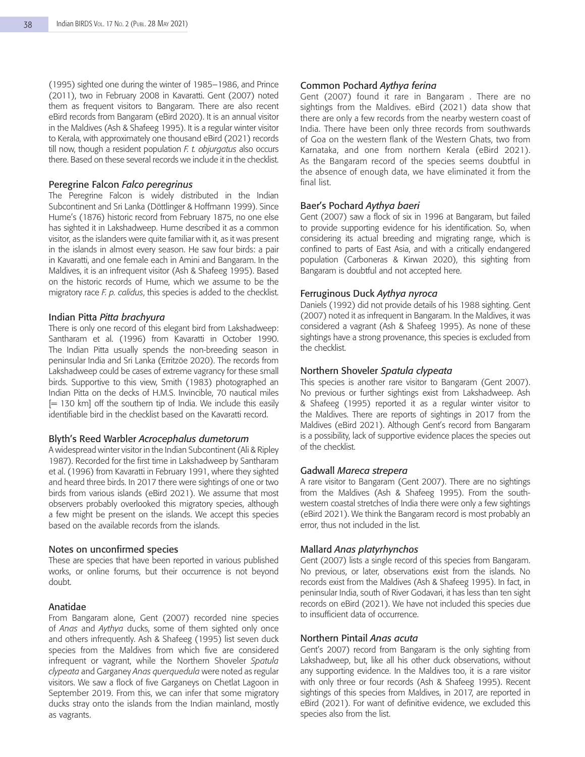(1995) sighted one during the winter of 1985–1986, and Prince (2011), two in February 2008 in Kavaratti. Gent (2007) noted them as frequent visitors to Bangaram. There are also recent eBird records from Bangaram (eBird 2020). It is an annual visitor in the Maldives (Ash & Shafeeg 1995). It is a regular winter visitor to Kerala, with approximately one thousand eBird (2021) records till now, though a resident population *F. t. objurgatus* also occurs there. Based on these several records we include it in the checklist.

## Peregrine Falcon *Falco peregrinus*

The Peregrine Falcon is widely distributed in the Indian Subcontinent and Sri Lanka (Döttlinger & Hoffmann 1999). Since Hume's (1876) historic record from February 1875, no one else has sighted it in Lakshadweep. Hume described it as a common visitor, as the islanders were quite familiar with it, as it was present in the islands in almost every season. He saw four birds: a pair in Kavaratti, and one female each in Amini and Bangaram. In the Maldives, it is an infrequent visitor (Ash & Shafeeg 1995). Based on the historic records of Hume, which we assume to be the migratory race *F. p. calidus*, this species is added to the checklist.

# Indian Pitta *Pitta brachyura*

There is only one record of this elegant bird from Lakshadweep: Santharam et al. (1996) from Kavaratti in October 1990. The Indian Pitta usually spends the non-breeding season in peninsular India and Sri Lanka (Erritzöe 2020). The records from Lakshadweep could be cases of extreme vagrancy for these small birds. Supportive to this view, Smith (1983) photographed an Indian Pitta on the decks of H.M.S. Invincible, 70 nautical miles  $[= 130$  km] off the southern tip of India. We include this easily identifiable bird in the checklist based on the Kavaratti record.

#### Blyth's Reed Warbler *Acrocephalus dumetorum*

A widespread winter visitor in the Indian Subcontinent (Ali & Ripley 1987). Recorded for the first time in Lakshadweep by Santharam et al. (1996) from Kavaratti in February 1991, where they sighted and heard three birds. In 2017 there were sightings of one or two birds from various islands (eBird 2021). We assume that most observers probably overlooked this migratory species, although a few might be present on the islands. We accept this species based on the available records from the islands.

## Notes on unconfirmed species

These are species that have been reported in various published works, or online forums, but their occurrence is not beyond doubt.

# Anatidae

From Bangaram alone, Gent (2007) recorded nine species of *Anas* and *Aythya* ducks, some of them sighted only once and others infrequently. Ash & Shafeeg (1995) list seven duck species from the Maldives from which five are considered infrequent or vagrant, while the Northern Shoveler *Spatula clypeata* and Garganey *Anas querquedula* were noted as regular visitors. We saw a flock of five Garganeys on Chetlat Lagoon in September 2019. From this, we can infer that some migratory ducks stray onto the islands from the Indian mainland, mostly as vagrants.

## Common Pochard *Aythya ferina*

Gent (2007) found it rare in Bangaram . There are no sightings from the Maldives. eBird (2021) data show that there are only a few records from the nearby western coast of India. There have been only three records from southwards of Goa on the western flank of the Western Ghats, two from Karnataka, and one from northern Kerala (eBird 2021). As the Bangaram record of the species seems doubtful in the absence of enough data, we have eliminated it from the final list.

## Baer's Pochard *Aythya baeri*

Gent (2007) saw a flock of six in 1996 at Bangaram, but failed to provide supporting evidence for his identification. So, when considering its actual breeding and migrating range, which is confined to parts of East Asia, and with a critically endangered population (Carboneras & Kirwan 2020), this sighting from Bangaram is doubtful and not accepted here.

# Ferruginous Duck *Aythya nyroca*

Daniels (1992) did not provide details of his 1988 sighting. Gent (2007) noted it as infrequent in Bangaram. In the Maldives, it was considered a vagrant (Ash & Shafeeg 1995). As none of these sightings have a strong provenance, this species is excluded from the checklist.

## Northern Shoveler *Spatula clypeata*

This species is another rare visitor to Bangaram (Gent 2007). No previous or further sightings exist from Lakshadweep. Ash & Shafeeg (1995) reported it as a regular winter visitor to the Maldives. There are reports of sightings in 2017 from the Maldives (eBird 2021). Although Gent's record from Bangaram is a possibility, lack of supportive evidence places the species out of the checklist.

#### Gadwall *Mareca strepera*

A rare visitor to Bangaram (Gent 2007). There are no sightings from the Maldives (Ash & Shafeeg 1995). From the southwestern coastal stretches of India there were only a few sightings (eBird 2021). We think the Bangaram record is most probably an error, thus not included in the list.

#### Mallard *Anas platyrhynchos*

Gent (2007) lists a single record of this species from Bangaram. No previous, or later, observations exist from the islands. No records exist from the Maldives (Ash & Shafeeg 1995). In fact, in peninsular India, south of River Godavari, it has less than ten sight records on eBird (2021). We have not included this species due to insufficient data of occurrence.

### Northern Pintail *Anas acuta*

Gent's 2007) record from Bangaram is the only sighting from Lakshadweep, but, like all his other duck observations, without any supporting evidence. In the Maldives too, it is a rare visitor with only three or four records (Ash & Shafeeg 1995). Recent sightings of this species from Maldives, in 2017, are reported in eBird (2021). For want of definitive evidence, we excluded this species also from the list.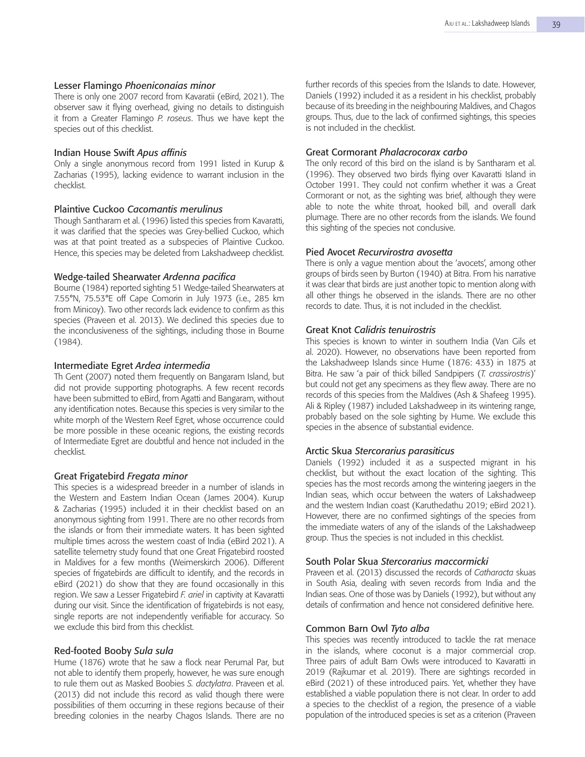#### Lesser Flamingo *Phoeniconaias minor*

There is only one 2007 record from Kavaratii (eBird, 2021). The observer saw it flying overhead, giving no details to distinguish it from a Greater Flamingo *P. roseus*. Thus we have kept the species out of this checklist.

#### Indian House Swift *Apus affinis*

Only a single anonymous record from 1991 listed in Kurup & Zacharias (1995), lacking evidence to warrant inclusion in the checklist.

## Plaintive Cuckoo *Cacomantis merulinus*

Though Santharam et al. (1996) listed this species from Kavaratti, it was clarified that the species was Grey-bellied Cuckoo, which was at that point treated as a subspecies of Plaintive Cuckoo. Hence, this species may be deleted from Lakshadweep checklist.

#### Wedge-tailed Shearwater *Ardenna pacifica*

Bourne (1984) reported sighting 51 Wedge-tailed Shearwaters at 7.55°N, 75.53°E off Cape Comorin in July 1973 (i.e., 285 km from Minicoy). Two other records lack evidence to confirm as this species (Praveen et al. 2013). We declined this species due to the inconclusiveness of the sightings, including those in Bourne (1984).

#### Intermediate Egret *Ardea intermedia*

Th Gent (2007) noted them frequently on Bangaram Island, but did not provide supporting photographs. A few recent records have been submitted to eBird, from Agatti and Bangaram, without any identification notes. Because this species is very similar to the white morph of the Western Reef Egret, whose occurrence could be more possible in these oceanic regions, the existing records of Intermediate Egret are doubtful and hence not included in the checklist.

#### Great Frigatebird *Fregata minor*

This species is a widespread breeder in a number of islands in the Western and Eastern Indian Ocean (James 2004). Kurup & Zacharias (1995) included it in their checklist based on an anonymous sighting from 1991. There are no other records from the islands or from their immediate waters. It has been sighted multiple times across the western coast of India (eBird 2021). A satellite telemetry study found that one Great Frigatebird roosted in Maldives for a few months (Weimerskirch 2006). Different species of frigatebirds are difficult to identify, and the records in eBird (2021) do show that they are found occasionally in this region. We saw a Lesser Frigatebird *F. ariel* in captivity at Kavaratti during our visit. Since the identification of frigatebirds is not easy, single reports are not independently verifiable for accuracy. So we exclude this bird from this checklist.

## Red-footed Booby *Sula sula*

Hume (1876) wrote that he saw a flock near Perumal Par, but not able to identify them properly, however, he was sure enough to rule them out as Masked Boobies *S. dactylatra*. Praveen et al. (2013) did not include this record as valid though there were possibilities of them occurring in these regions because of their breeding colonies in the nearby Chagos Islands. There are no

further records of this species from the Islands to date. However, Daniels (1992) included it as a resident in his checklist, probably because of its breeding in the neighbouring Maldives, and Chagos groups. Thus, due to the lack of confirmed sightings, this species is not included in the checklist.

# Great Cormorant *Phalacrocorax carbo*

The only record of this bird on the island is by Santharam et al. (1996). They observed two birds flying over Kavaratti Island in October 1991. They could not confirm whether it was a Great Cormorant or not, as the sighting was brief, although they were able to note the white throat, hooked bill, and overall dark plumage. There are no other records from the islands. We found this sighting of the species not conclusive.

# Pied Avocet *Recurvirostra avosetta*

There is only a vague mention about the 'avocets', among other groups of birds seen by Burton (1940) at Bitra. From his narrative it was clear that birds are just another topic to mention along with all other things he observed in the islands. There are no other records to date. Thus, it is not included in the checklist.

## Great Knot *Calidris tenuirostris*

This species is known to winter in southern India (Van Gils et al. 2020). However, no observations have been reported from the Lakshadweep Islands since Hume (1876: 433) in 1875 at Bitra. He saw 'a pair of thick billed Sandpipers (*T. crassirostris*)' but could not get any specimens as they flew away. There are no records of this species from the Maldives (Ash & Shafeeg 1995). Ali & Ripley (1987) included Lakshadweep in its wintering range, probably based on the sole sighting by Hume. We exclude this species in the absence of substantial evidence.

# Arctic Skua *Stercorarius parasiticus*

Daniels (1992) included it as a suspected migrant in his checklist, but without the exact location of the sighting. This species has the most records among the wintering jaegers in the Indian seas, which occur between the waters of Lakshadweep and the western Indian coast (Karuthedathu 2019; eBird 2021). However, there are no confirmed sightings of the species from the immediate waters of any of the islands of the Lakshadweep group. Thus the species is not included in this checklist.

## South Polar Skua *Stercorarius maccormicki*

Praveen et al. (2013) discussed the records of *Catharacta* skuas in South Asia, dealing with seven records from India and the Indian seas. One of those was by Daniels (1992), but without any details of confirmation and hence not considered definitive here.

## Common Barn Owl *Tyto alba*

This species was recently introduced to tackle the rat menace in the islands, where coconut is a major commercial crop. Three pairs of adult Barn Owls were introduced to Kavaratti in 2019 (Rajkumar et al. 2019). There are sightings recorded in eBird (2021) of these introduced pairs. Yet, whether they have established a viable population there is not clear. In order to add a species to the checklist of a region, the presence of a viable population of the introduced species is set as a criterion (Praveen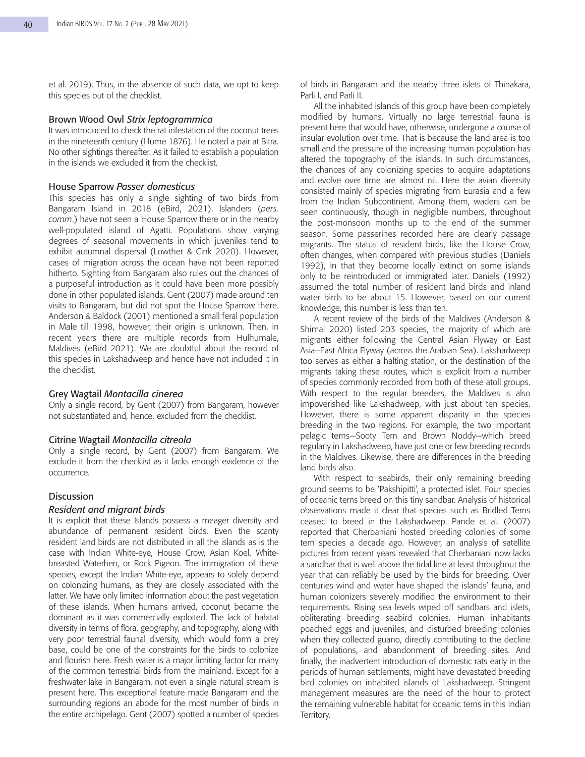et al. 2019). Thus, in the absence of such data, we opt to keep this species out of the checklist.

#### Brown Wood Owl *Strix leptogrammica*

It was introduced to check the rat infestation of the coconut trees in the nineteenth century (Hume 1876). He noted a pair at Bitra. No other sightings thereafter. As it failed to establish a population in the islands we excluded it from the checklist.

#### House Sparrow *Passer domesticus*

This species has only a single sighting of two birds from Bangaram Island in 2018 (eBird, 2021). Islanders (*pers. comm*.) have not seen a House Sparrow there or in the nearby well-populated island of Agatti. Populations show varying degrees of seasonal movements in which juveniles tend to exhibit autumnal dispersal (Lowther & Cink 2020). However, cases of migration across the ocean have not been reported hitherto. Sighting from Bangaram also rules out the chances of a purposeful introduction as it could have been more possibly done in other populated islands. Gent (2007) made around ten visits to Bangaram, but did not spot the House Sparrow there. Anderson & Baldock (2001) mentioned a small feral population in Male till 1998, however, their origin is unknown. Then, in recent years there are multiple records from Hulhumale, Maldives (eBird 2021). We are doubtful about the record of this species in Lakshadweep and hence have not included it in the checklist.

# Grey Wagtail *Montacilla cinerea*

Only a single record, by Gent (2007) from Bangaram, however not substantiated and, hence, excluded from the checklist.

#### Citrine Wagtail *Montacilla citreola*

Only a single record, by Gent (2007) from Bangaram. We exclude it from the checklist as it lacks enough evidence of the occurrence.

### **Discussion**

# *Resident and migrant birds*

It is explicit that these Islands possess a meager diversity and abundance of permanent resident birds. Even the scanty resident land birds are not distributed in all the islands as is the case with Indian White-eye, House Crow, Asian Koel, Whitebreasted Waterhen, or Rock Pigeon. The immigration of these species, except the Indian White-eye, appears to solely depend on colonizing humans, as they are closely associated with the latter. We have only limited information about the past vegetation of these islands. When humans arrived, coconut became the dominant as it was commercially exploited. The lack of habitat diversity in terms of flora, geography, and topography, along with very poor terrestrial faunal diversity, which would form a prey base, could be one of the constraints for the birds to colonize and flourish here. Fresh water is a major limiting factor for many of the common terrestrial birds from the mainland. Except for a freshwater lake in Bangaram, not even a single natural stream is present here. This exceptional feature made Bangaram and the surrounding regions an abode for the most number of birds in the entire archipelago. Gent (2007) spotted a number of species

of birds in Bangaram and the nearby three islets of Thinakara, Parli I, and Parli II.

All the inhabited islands of this group have been completely modified by humans. Virtually no large terrestrial fauna is present here that would have, otherwise, undergone a course of insular evolution over time. That is because the land area is too small and the pressure of the increasing human population has altered the topography of the islands. In such circumstances, the chances of any colonizing species to acquire adaptations and evolve over time are almost nil. Here the avian diversity consisted mainly of species migrating from Eurasia and a few from the Indian Subcontinent. Among them, waders can be seen continuously, though in negligible numbers, throughout the post-monsoon months up to the end of the summer season. Some passerines recorded here are clearly passage migrants. The status of resident birds, like the House Crow, often changes, when compared with previous studies (Daniels 1992), in that they become locally extinct on some islands only to be reintroduced or immigrated later. Daniels (1992) assumed the total number of resident land birds and inland water birds to be about 15. However, based on our current knowledge, this number is less than ten.

A recent review of the birds of the Maldives (Anderson & Shimal 2020) listed 203 species, the majority of which are migrants either following the Central Asian Flyway or East Asia–East Africa Flyway (across the Arabian Sea). Lakshadweep too serves as either a halting station, or the destination of the migrants taking these routes, which is explicit from a number of species commonly recorded from both of these atoll groups. With respect to the regular breeders, the Maldives is also impoverished like Lakshadweep, with just about ten species. However, there is some apparent disparity in the species breeding in the two regions. For example, the two important pelagic terns—Sooty Tern and Brown Noddy—which breed regularly in Lakshadweep, have just one or few breeding records in the Maldives. Likewise, there are differences in the breeding land birds also.

With respect to seabirds, their only remaining breeding ground seems to be 'Pakshipitti', a protected islet. Four species of oceanic terns breed on this tiny sandbar. Analysis of historical observations made it clear that species such as Bridled Terns ceased to breed in the Lakshadweep. Pande et al. (2007) reported that Cherbaniani hosted breeding colonies of some tern species a decade ago. However, an analysis of satellite pictures from recent years revealed that Cherbaniani now lacks a sandbar that is well above the tidal line at least throughout the year that can reliably be used by the birds for breeding. Over centuries wind and water have shaped the islands' fauna, and human colonizers severely modified the environment to their requirements. Rising sea levels wiped off sandbars and islets, obliterating breeding seabird colonies. Human inhabitants poached eggs and juveniles, and disturbed breeding colonies when they collected guano, directly contributing to the decline of populations, and abandonment of breeding sites. And finally, the inadvertent introduction of domestic rats early in the periods of human settlements, might have devastated breeding bird colonies on inhabited islands of Lakshadweep. Stringent management measures are the need of the hour to protect the remaining vulnerable habitat for oceanic terns in this Indian Territory.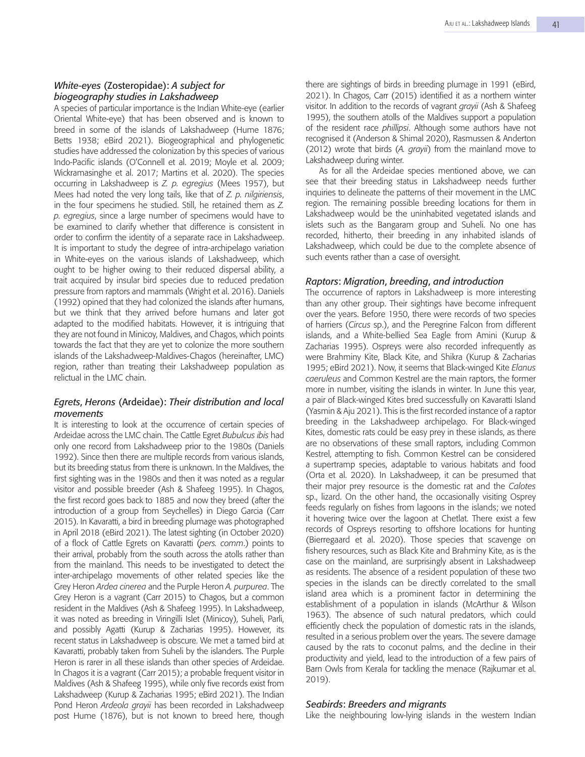# *White*-*eyes* (Zosteropidae): *A subject for biogeography studies in Lakshadweep*

A species of particular importance is the Indian White-eye (earlier Oriental White-eye) that has been observed and is known to breed in some of the islands of Lakshadweep (Hume 1876; Betts 1938; eBird 2021). Biogeographical and phylogenetic studies have addressed the colonization by this species of various Indo-Pacific islands (O'Connell et al. 2019; Moyle et al. 2009; Wickramasinghe et al. 2017; Martins et al. 2020). The species occurring in Lakshadweep is *Z. p. egregius* (Mees 1957), but Mees had noted the very long tails, like that of *Z. p. nilgiriensis*, in the four specimens he studied. Still, he retained them as *Z. p. egregius*, since a large number of specimens would have to be examined to clarify whether that difference is consistent in order to confirm the identity of a separate race in Lakshadweep. It is important to study the degree of intra-archipelago variation in White-eyes on the various islands of Lakshadweep, which ought to be higher owing to their reduced dispersal ability, a trait acquired by insular bird species due to reduced predation pressure from raptors and mammals (Wright et al. 2016). Daniels (1992) opined that they had colonized the islands after humans, but we think that they arrived before humans and later got adapted to the modified habitats. However, it is intriguing that they are not found in Minicoy, Maldives, and Chagos, which points towards the fact that they are yet to colonize the more southern islands of the Lakshadweep-Maldives-Chagos (hereinafter, LMC) region, rather than treating their Lakshadweep population as relictual in the LMC chain.

# *Egrets*, *Herons* (Ardeidae): *Their distribution and local movements*

It is interesting to look at the occurrence of certain species of Ardeidae across the LMC chain. The Cattle Egret *Bubulcus ibis* had only one record from Lakshadweep prior to the 1980s (Daniels 1992). Since then there are multiple records from various islands, but its breeding status from there is unknown. In the Maldives, the first sighting was in the 1980s and then it was noted as a regular visitor and possible breeder (Ash & Shafeeg 1995). In Chagos, the first record goes back to 1885 and now they breed (after the introduction of a group from Seychelles) in Diego Garcia (Carr 2015). In Kavaratti, a bird in breeding plumage was photographed in April 2018 (eBird 2021). The latest sighting (in October 2020) of a flock of Cattle Egrets on Kavaratti (*pers. comm*.) points to their arrival, probably from the south across the atolls rather than from the mainland. This needs to be investigated to detect the inter-archipelago movements of other related species like the Grey Heron *Ardea cinerea* and the Purple Heron *A. purpurea*. The Grey Heron is a vagrant (Carr 2015) to Chagos, but a common resident in the Maldives (Ash & Shafeeg 1995). In Lakshadweep, it was noted as breeding in Viringilli Islet (Minicoy), Suheli, Parli, and possibly Agatti (Kurup & Zacharias 1995). However, its recent status in Lakshadweep is obscure. We met a tamed bird at Kavaratti, probably taken from Suheli by the islanders. The Purple Heron is rarer in all these islands than other species of Ardeidae. In Chagos it is a vagrant (Carr 2015); a probable frequent visitor in Maldives (Ash & Shafeeg 1995), while only five records exist from Lakshadweep (Kurup & Zacharias 1995; eBird 2021). The Indian Pond Heron *Ardeola grayii* has been recorded in Lakshadweep post Hume (1876), but is not known to breed here, though

there are sightings of birds in breeding plumage in 1991 (eBird, 2021). In Chagos, Carr (2015) identified it as a northern winter visitor. In addition to the records of vagrant *grayii* (Ash & Shafeeg 1995), the southern atolls of the Maldives support a population of the resident race *phillipsi*. Although some authors have not recognised it (Anderson & Shimal 2020), Rasmussen & Anderton (2012) wrote that birds (*A. grayii*) from the mainland move to Lakshadweep during winter.

As for all the Ardeidae species mentioned above, we can see that their breeding status in Lakshadweep needs further inquiries to delineate the patterns of their movement in the LMC region. The remaining possible breeding locations for them in Lakshadweep would be the uninhabited vegetated islands and islets such as the Bangaram group and Suheli. No one has recorded, hitherto, their breeding in any inhabited islands of Lakshadweep, which could be due to the complete absence of such events rather than a case of oversight.

# *Raptors*: *Migration*, *breeding*, *and introduction*

The occurrence of raptors in Lakshadweep is more interesting than any other group. Their sightings have become infrequent over the years. Before 1950, there were records of two species of harriers (*Circus* sp.), and the Peregrine Falcon from different islands, and a White-bellied Sea Eagle from Amini (Kurup & Zacharias 1995). Ospreys were also recorded infrequently as were Brahminy Kite, Black Kite, and Shikra (Kurup & Zacharias 1995; eBird 2021). Now, it seems that Black-winged Kite *Elanus caeruleus* and Common Kestrel are the main raptors, the former more in number, visiting the islands in winter. In June this year, a pair of Black-winged Kites bred successfully on Kavaratti Island (Yasmin & Aju 2021). This is the first recorded instance of a raptor breeding in the Lakshadweep archipelago. For Black-winged Kites, domestic rats could be easy prey in these islands, as there are no observations of these small raptors, including Common Kestrel, attempting to fish. Common Kestrel can be considered a supertramp species, adaptable to various habitats and food (Orta et al. 2020). In Lakshadweep, it can be presumed that their major prey resource is the domestic rat and the *Calotes* sp., lizard. On the other hand, the occasionally visiting Osprey feeds regularly on fishes from lagoons in the islands; we noted it hovering twice over the lagoon at Chetlat. There exist a few records of Ospreys resorting to offshore locations for hunting (Bierregaard et al. 2020). Those species that scavenge on fishery resources, such as Black Kite and Brahminy Kite, as is the case on the mainland, are surprisingly absent in Lakshadweep as residents. The absence of a resident population of these two species in the islands can be directly correlated to the small island area which is a prominent factor in determining the establishment of a population in islands (McArthur & Wilson 1963). The absence of such natural predators, which could efficiently check the population of domestic rats in the islands, resulted in a serious problem over the years. The severe damage caused by the rats to coconut palms, and the decline in their productivity and yield, lead to the introduction of a few pairs of Barn Owls from Kerala for tackling the menace (Rajkumar et al. 2019).

# *Seabirds*: *Breeders and migrants*

Like the neighbouring low-lying islands in the western Indian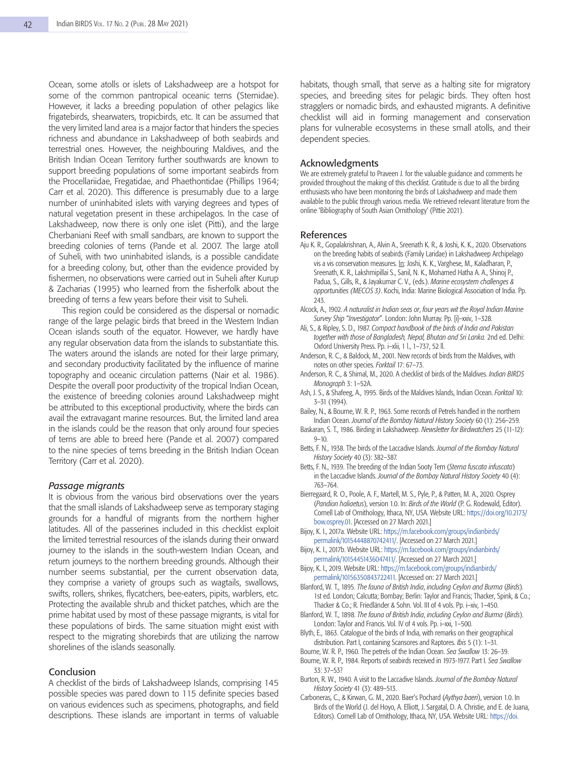Ocean, some atolls or islets of Lakshadweep are a hotspot for some of the common pantropical oceanic terns (Sternidae). However, it lacks a breeding population of other pelagics like frigatebirds, shearwaters, tropicbirds, etc. It can be assumed that the very limited land area is a major factor that hinders the species richness and abundance in Lakshadweep of both seabirds and terrestrial ones. However, the neighbouring Maldives, and the British Indian Ocean Territory further southwards are known to support breeding populations of some important seabirds from the Procellariidae, Fregatidae, and Phaethontidae (Phillips 1964; Carr et al. 2020). This difference is presumably due to a large number of uninhabited islets with varying degrees and types of natural vegetation present in these archipelagos. In the case of Lakshadweep, now there is only one islet (Pitti), and the large Cherbaniani Reef with small sandbars, are known to support the breeding colonies of terns (Pande et al. 2007. The large atoll of Suheli, with two uninhabited islands, is a possible candidate for a breeding colony, but, other than the evidence provided by fishermen, no observations were carried out in Suheli after Kurup & Zacharias (1995) who learned from the fisherfolk about the breeding of terns a few years before their visit to Suheli.

This region could be considered as the dispersal or nomadic range of the large pelagic birds that breed in the Western Indian Ocean islands south of the equator. However, we hardly have any regular observation data from the islands to substantiate this. The waters around the islands are noted for their large primary, and secondary productivity facilitated by the influence of marine topography and oceanic circulation patterns (Nair et al. 1986). Despite the overall poor productivity of the tropical Indian Ocean, the existence of breeding colonies around Lakshadweep might be attributed to this exceptional productivity, where the birds can avail the extravagant marine resources. But, the limited land area in the islands could be the reason that only around four species of terns are able to breed here (Pande et al. 2007) compared to the nine species of terns breeding in the British Indian Ocean Territory (Carr et al. 2020).

#### *Passage migrants*

It is obvious from the various bird observations over the years that the small islands of Lakshadweep serve as temporary staging grounds for a handful of migrants from the northern higher latitudes. All of the passerines included in this checklist exploit the limited terrestrial resources of the islands during their onward journey to the islands in the south-western Indian Ocean, and return journeys to the northern breeding grounds. Although their number seems substantial, per the current observation data, they comprise a variety of groups such as wagtails, swallows, swifts, rollers, shrikes, flycatchers, bee-eaters, pipits, warblers, etc. Protecting the available shrub and thicket patches, which are the prime habitat used by most of these passage migrants, is vital for these populations of birds. The same situation might exist with respect to the migrating shorebirds that are utilizing the narrow shorelines of the islands seasonally.

# Conclusion

A checklist of the birds of Lakshadweep Islands, comprising 145 possible species was pared down to 115 definite species based on various evidences such as specimens, photographs, and field descriptions. These islands are important in terms of valuable habitats, though small, that serve as a halting site for migratory species, and breeding sites for pelagic birds. They often host stragglers or nomadic birds, and exhausted migrants. A definitive checklist will aid in forming management and conservation plans for vulnerable ecosystems in these small atolls, and their dependent species.

#### Acknowledgments

We are extremely grateful to Praveen J. for the valuable guidance and comments he provided throughout the making of this checklist. Gratitude is due to all the birding enthusiasts who have been monitoring the birds of Lakshadweep and made them available to the public through various media. We retrieved relevant literature from the online 'Bibliography of South Asian Ornithology' (Pittie 2021).

#### References

- Aju K. R., Gopalakrishnan, A., Alvin A., Sreenath K. R., & Joshi, K. K., 2020. Observations on the breeding habits of seabirds (Family Laridae) in Lakshadweep Archipelago vis a vis conservation measures. In: Joshi, K. K., Varghese, M., Kaladharan, P., Sreenath, K. R., Lakshmipillai S., Sanil, N. K., Mohamed Hatha A. A., Shinoj P., Padua, S., Gills, R., & Jayakumar C. V., (eds.). *Marine ecosystem challenges & opportunities (MECOS 3)*. Kochi, India: Marine Biological Association of India. Pp. 243.
- Alcock, A., 1902. *A naturalist in Indian seas or*, *four years wit the Royal Indian Marine Survey Ship* "*Investigator*". London: John Murray. Pp. [i]–xxiv, 1–328.
- Ali, S., & Ripley, S. D., 1987. *Compact handbook of the birds of India and Pakistan together with those of Bangladesh, Nepal, Bhutan and Sri Lanka.* 2nd ed. Delhi: Oxford University Press. Pp. i–xlii, 1 l., 1–737, 52 ll.
- Anderson, R. C., & Baldock, M., 2001. New records of birds from the Maldives, with notes on other species. *Forktail* 17: 67–73.
- Anderson, R. C., & Shimal, M., 2020. A checklist of birds of the Maldives. *Indian BIRDS Monograph* 3: 1–52A.
- Ash, J. S., & Shafeeg, A., 1995. Birds of the Maldives Islands, Indian Ocean. *Forktail* 10: 3–31 (1994).
- Bailey, N., & Bourne, W. R. P., 1963. Some records of Petrels handled in the northern Indian Ocean. *Journal of the Bombay Natural History Society* 60 (1): 256–259.
- Baskaran, S. T., 1986. Birding in Lakshadweep. *Newsletter for Birdwatchers* 25 (11-12): 9–10.
- Betts, F. N., 1938. The birds of the Laccadive Islands. *Journal of the Bombay Natural History Society* 40 (3): 382–387.
- Betts, F. N., 1939. The breeding of the Indian Sooty Tern (*Sterna fuscata infuscata*) in the Laccadive Islands. *Journal of the Bombay Natural History Society* 40 (4): 763–764.
- Bierregaard, R. O., Poole, A. F., Martell, M. S., Pyle, P., & Patten, M. A., 2020. Osprey (*Pandion haliaetus*), version 1.0. In: *Birds of the World* (P. G. Rodewald, Editor). Cornell Lab of Ornithology, Ithaca, NY, USA. Website URL: https://doi.org/10.2173/ bow.osprey.01. [Accessed on 27 March 2021.]
- Bijoy, K. I., 2017a. Website URL: https://m.facebook.com/groups/indianbirds/ permalink/10154448870742411/. [Accessed on 27 March 2021.]
- Bijoy, K. I., 2017b. Website URL: https://m.facebook.com/groups/indianbirds/ permalink/10154451436047411/. [Accessed on 27 March 2021.]
- Bijoy, K. I., 2019. Website URL: https://m.facebook.com/groups/indianbirds/ permalink/10156350843722411. [Accessed on: 27 March 2021.]
- Blanford, W. T., 1895. *The fauna of British India*, *including Ceylon and Burma* (*Birds*). 1st ed. London; Calcutta; Bombay; Berlin: Taylor and Francis; Thacker, Spink, & Co.; Thacker & Co.; R. Friedländer & Sohn. Vol. III of 4 vols. Pp. i–xiv, 1–450.
- Blanford, W. T., 1898. *The fauna of British India*, *including Ceylon and Burma* (*Birds*). London: Taylor and Francis. Vol. IV of 4 vols. Pp. i–xxi, 1–500.
- Blyth, E., 1863. Catalogue of the birds of India, with remarks on their geographical distribution. Part I, containing Scansores and Raptores. *Ibis* 5 (1): 1–31.
- Bourne, W. R. P., 1960. The petrels of the Indian Ocean. *Sea Swallow* 13: 26–39.
- Bourne, W. R. P., 1984. Reports of seabirds received in 1973-1977. Part I. *Sea Swallow*  33: 37–53?
- Burton, R. W., 1940. A visit to the Laccadive Islands. *Journal of the Bombay Natural History Society* 41 (3): 489–513.
- Carboneras, C., & Kirwan, G. M., 2020. Baer's Pochard (*Aythya baeri*), version 1.0. In Birds of the World (J. del Hoyo, A. Elliott, J. Sargatal, D. A. Christie, and E. de Juana, Editors). Cornell Lab of Ornithology, Ithaca, NY, USA. Website URL: https://doi.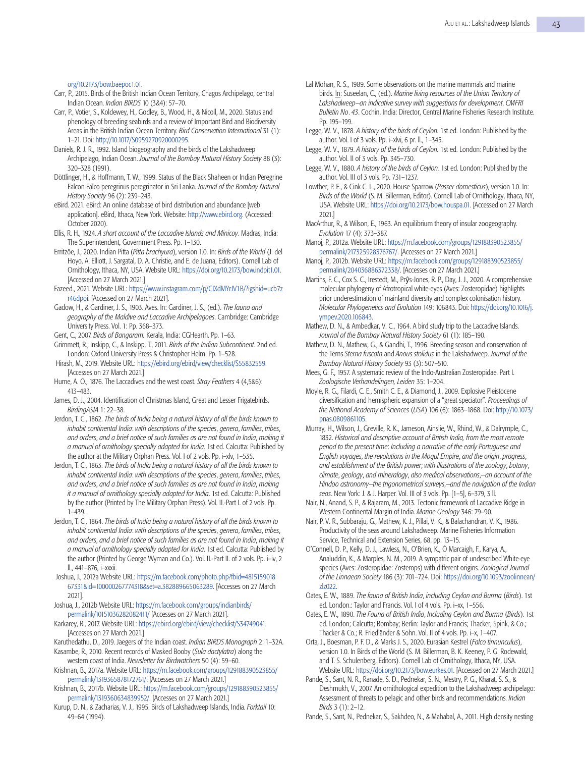org/10.2173/bow.baepoc1.01.

- Carr, P., 2015. Birds of the British Indian Ocean Territory, Chagos Archipelago, central Indian Ocean. *Indian BIRDS* 10 (3&4): 57–70.
- Carr, P., Votier, S., Koldewey, H., Godley, B., Wood, H., & Nicoll, M., 2020. Status and phenology of breeding seabirds and a review of Important Bird and Biodiversity Areas in the British Indian Ocean Territory. *Bird Conservation International* 31 (1): 1–21. Doi: http://10.1017/S0959270920000295.
- Daniels, R. J. R., 1992. Island biogeography and the birds of the Lakshadweep Archipelago, Indian Ocean. *Journal of the Bombay Natural History Society* 88 (3): 320–328 (1991).
- Döttlinger, H., & Hoffmann, T. W., 1999. Status of the Black Shaheen or Indian Peregrine Falcon Falco peregrinus peregrinator in Sri Lanka. *Journal of the Bombay Natural History Society* 96 (2): 239–243.
- eBird. 2021. eBird: An online database of bird distribution and abundance [web application]. eBird, Ithaca, New York. Website: http://www.ebird.org. (Accessed: October 2020).
- Ellis, R. H., 1924. *A short account of the Laccadive Islands and Minicoy*. Madras, India: The Superintendent, Government Press. Pp. 1–130.
- Erritzöe, J., 2020. Indian Pitta (*Pitta brachyura*), version 1.0. In: *Birds of the World* (J. del Hoyo, A. Elliott, J. Sargatal, D. A. Christie, and E. de Juana, Editors). Cornell Lab of Ornithology, Ithaca, NY, USA. Website URL: https://doi.org/10.2173/bow.indpit1.01. [Accessed on 27 March 2021.]
- Fazeed., 2021. Website URL: https://www.instagram.com/p/CIXdMYrJV1B/?igshid=ucb7z r46dpoi. [Accessed on 27 March 2021].

Gadow, H., & Gardiner, J. S., 1903. Aves. In: Gardiner, J. S., (ed.). *The fauna and geography of the Maldive and Laccadive Archipelagoes*. Cambridge: Cambridge University Press. Vol. 1: Pp. 368–373.

- Gent, C., 2007. *Birds of Bangaram.* Kerala, India: CGHearth. Pp. 1–63.
- Grimmett, R., Inskipp, C., & Inskipp, T., 2011. *Birds of the Indian Subcontinent.* 2nd ed. London: Oxford University Press & Christopher Helm. Pp. 1–528.
- Hirash, M., 2019. Website URL: https://ebird.org/ebird/view/checklist/S55832559. [Accesses on 27 March 2021.]
- Hume, A. O., 1876. The Laccadives and the west coast. *Stray Feathers* 4 (4,5&6): 413–483.
- James, D. J., 2004. Identification of Christmas Island, Great and Lesser Frigatebirds. *BirdingASIA* 1: 22–38.
- Jerdon, T. C., 1862. *The birds of India being a natural history of all the birds known to inhabit continental India*: *with descriptions of the species*, *genera*, *families*, *tribes*, *and orders*, *and a brief notice of such families as are not found in India*, *making it a manual of ornithology specially adapted for India*. 1st ed. Calcutta: Published by the author at the Military Orphan Press. Vol. I of 2 vols. Pp. i–xlv, 1–535.
- Jerdon, T. C., 1863. *The birds of India being a natural history of all the birds known to inhabit continental India*: *with descriptions of the species*, *genera*, *families*, *tribes*, *and orders*, *and a brief notice of such families as are not found in India*, *making it a manual of ornithology specially adapted for India*. 1st ed. Calcutta: Published by the author (Printed by The Military Orphan Press). Vol. II.-Part I. of 2 vols. Pp. 1–439.
- Jerdon, T. C., 1864. *The birds of India being a natural history of all the birds known to inhabit continental India*: *with descriptions of the species*, *genera*, *families*, *tribes*, *and orders*, *and a brief notice of such families as are not found in India*, *making it a manual of ornithology specially adapted for India*. 1st ed. Calcutta: Published by the author (Printed by George Wyman and Co.). Vol. II.-Part II. of 2 vols. Pp. i–iv, 2 ll., 441–876, i–xxxii.
- Joshua, J., 2012a Website URL: https://m.facebook.com/photo.php?fbid=4815159018 67331&id=100000267774318&set=a.382889665063289. [Accesses on 27 March 2021].
- Joshua, J., 2012b Website URL: https://m.facebook.com/groups/indianbirds/ permalink/10151036282082411/ [Accesses on 27 March 2021].
- Karkarey, R., 2017. Website URL: https://ebird.org/ebird/view/checklist/S34749041. [Accesses on 27 March 2021.]
- Karuthedathu, D., 2019. Jaegers of the Indian coast. *Indian BIRDS Monograph* 2: 1–32A.

Kasambe, R., 2010. Recent records of Masked Booby (*Sula dactylatra*) along the western coast of India. *Newsletter for Birdwatchers* 50 (4): 59–60.

- Krishnan, B., 2017a. Website URL: https://m.facebook.com/groups/129188390523855/ permalink/1319365878172761/. [Accesses on 27 March 2021.]
- Krishnan, B., 2017b. Website URL: https://m.facebook.com/groups/129188390523855/ permalink/1319360634839952/. [Accesses on 27 March 2021.]
- Kurup, D. N., & Zacharias, V. J., 1995. Birds of Lakshadweep Islands, India. *Forktail* 10: 49–64 (1994).
- Lal Mohan, R. S., 1989. Some observations on the marine mammals and marine birds. In: Suseelan, C., (ed.). *Marine living resources of the Union Territory of Lakshadweep*—*an indicative survey with suggestions for development*. *CMFRI Bulletin No*. *43*. Cochin, India: Director, Central Marine Fisheries Research Institute. Pp. 195–199.
- Legge, W. V., 1878. *A history of the birds of Ceylon.* 1st ed. London: Published by the author. Vol. I of 3 vols. Pp. i–xlvi, 6 pr. ll., 1–345.
- Legge, W. V., 1879. *A history of the birds of Ceylon.* 1st ed. London: Published by the author. Vol. II of 3 vols. Pp. 345–730.
- Legge, W. V., 1880. *A history of the birds of Ceylon.* 1st ed. London: Published by the author. Vol. III of 3 vols. Pp. 731–1237.
- Lowther, P. E., & Cink C. L., 2020. House Sparrow (*Passer domesticus*), version 1.0. In: *Birds of the World* (S. M. Billerman, Editor). Cornell Lab of Ornithology, Ithaca, NY, USA. Website URL: https://doi.org/10.2173/bow.houspa.01. [Accessed on 27 March 2021.]
- MacArthur, R., & Wilson, E., 1963. An equilibrium theory of insular zoogeography. *Evolution* 17 (4): 373–387.
- Manoj, P., 2012a. Website URL: https://m.facebook.com/groups/129188390523855/ permalink/217325928376767/. [Accesses on 27 March 2021.]
- Manoj, P., 2012b. Website URL: https://m.facebook.com/groups/129188390523855/ permalink/204036886372338/. [Accesses on 27 March 2021.]
- Martins, F. C., Cox S. C., Irestedt, M., Prŷs-Jones, R. P., Day, J. J., 2020. A comprehensive molecular phylogeny of Afrotropical white-eyes (Aves: Zosteropidae) highlights prior underestimation of mainland diversity and complex colonisation history. *Molecular Phylogenetics and Evolution* 149: 106843. Doi: https://doi.org/10.1016/j. ympev.2020.106843.
- Mathew, D. N., & Ambedkar, V. C., 1964. A bird study trip to the Laccadive Islands. *Journal of the Bombay Natural History Society* 61 (1): 185–190.
- Mathew, D. N., Mathew, G., & Gandhi, T., 1996. Breeding season and conservation of the Terns *Sterna fuscata* and *Anous stolidus* in the Lakshadweep. *Journal of the Bombay Natural History Society* 93 (3): 507–510.
- Mees, G. F., 1957. A systematic review of the Indo-Australian Zosteropidae. Part I. *Zoologische Verhandelingen, Leiden* 35: 1–204.
- Moyle, R. G., Filardi, C. E., Smith C. E., & Diamond, J., 2009. Explosive Pleistocene diversification and hemispheric expansion of a "great speciator". *Proceedings of the National Academy of Sciences* (*USA*) 106 (6): 1863–1868. Doi: http://10.1073/ pnas.0809861105.
- Murray, H., Wilson, J., Greville, R. K., Jameson, Ainslie, W., Rhind, W., & Dalrymple, C., 1832. *Historical and descriptive account of British India, from the most remote period to the present time*: *Including a narrative of the early Portuguese and English voyages*, *the revolutions in the Mogul Empire*, *and the origin*, *progress*, *and establishment of the British power*; *with illustrations of the zoology*, *botany*, *climate*, *geology*, *and mineralogy*, *also medical observations*,—*an account of the Hindoo astronomy*—*the trigonometrical surveys*,—*and the navigation of the Indian seas*. New York: J. & J. Harper. Vol. III of 3 vols. Pp. [1–5], 6–379, 3 ll.
- Nair, N., Anand, S. P., & Rajaram, M., 2013. Tectonic framework of Laccadive Ridge in Western Continental Margin of India. *Marine Geology* 346: 79–90.
- Nair, P. V. R., Subbaraju, G., Mathew, K. J., Pillai, V. K., & Balachandran, V. K., 1986. Productivity of the seas around Lakshadweep. Marine Fisheries Information Service, Technical and Extension Series, 68. pp. 13–15.
- O'Connell, D. P., Kelly, D. J., Lawless, N., O'Brien, K., Ó Marcaigh, F., Karya, A., Analuddin, K., & Marples, N. M., 2019. A sympatric pair of undescribed White-eye species (Aves: Zosteropidae: Zosterops) with different origins. *Zoological Journal of the Linnaean Society* 186 (3): 701–724. Doi: https://doi.org/10.1093/zoolinnean/ zlz022.
- Oates, E. W., 1889. *The fauna of British India*, *including Ceylon and Burma* (*Birds*). 1st ed. London.: Taylor and Francis. Vol. I of 4 vols. Pp. i-xx, 1-556.
- Oates, E. W., 1890. *The Fauna of British India*, *Including Ceylon and Burma* (*Birds*). 1st ed. London; Calcutta; Bombay; Berlin: Taylor and Francis; Thacker, Spink, & Co.; Thacker & Co.; R. Friedländer & Sohn. Vol. II of 4 vols. Pp. i–x, 1–407.
- Orta, J., Boesman, P. F. D., & Marks J. S., 2020. Eurasian Kestrel (*Falco tinnunculus*), version 1.0. In Birds of the World (S. M. Billerman, B. K. Keeney, P. G. Rodewald, and T. S. Schulenberg, Editors). Cornell Lab of Ornithology, Ithaca, NY, USA. Website URL: https://doi.org/10.2173/bow.eurkes.01. [Accessed on 27 March 2021.]
- Pande, S., Sant, N. R., Ranade, S. D., Pednekar, S. N., Mestry, P. G., Kharat, S. S., & Deshmukh, V., 2007. An ornithological expedition to the Lakshadweep archipelago: Assessment of threats to pelagic and other birds and recommendations. *Indian Birds* 3 (1): 2–12.

Pande, S., Sant, N., Pednekar, S., Sakhdeo, N., & Mahabal, A., 2011. High density nesting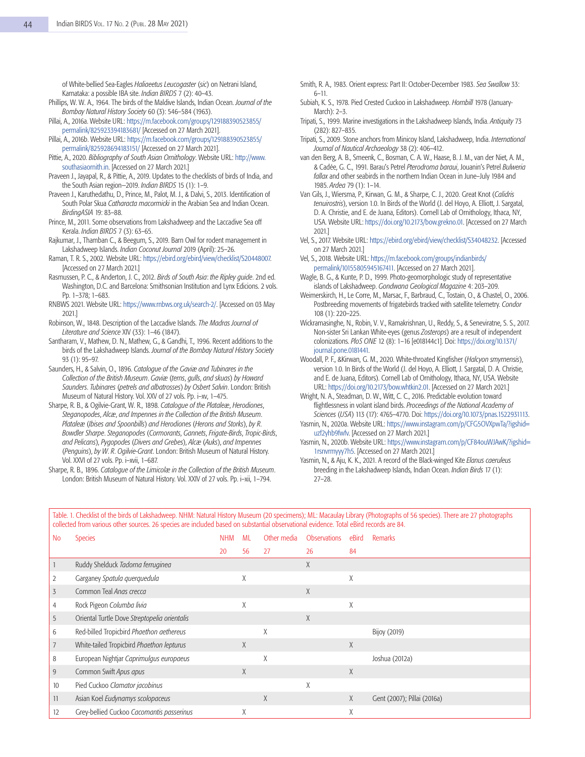of White-bellied Sea-Eagles *Haliaeetus Leucogaster* (*sic*) on Netrani Island, Karnataka: a possible IBA site. *Indian BIRDS* 7 (2): 40–43.

- Phillips, W. W. A., 1964. The birds of the Maldive Islands, Indian Ocean. *Journal of the Bombay Natural History Society* 60 (3): 546–584 (1963).
- Pillai, A., 2016a. Website URL: https://m.facebook.com/groups/129188390523855/ permalink/825923394183681/ [Accessed on 27 March 2021].
- Pillai, A., 2016b. Website URL: https://m.facebook.com/groups/129188390523855/ permalink/825928694183151/ [Accessed on 27 March 2021].
- Pittie, A., 2020. *Bibliography of South Asian Ornithology*. Website URL: http://www. southasiaornith.in. [Accessed on 27 March 2021.]
- Praveen J., Jayapal, R., & Pittie, A., 2019. Updates to the checklists of birds of India, and the South Asian region—2019. *Indian BIRDS* 15 (1): 1–9.
- Praveen J., Karuthedathu, D., Prince, M., Palot, M. J., & Dalvi, S., 2013. Identification of South Polar Skua *Catharacta macormicki* in the Arabian Sea and Indian Ocean. *BirdingASIA* 19: 83–88.
- Prince, M., 2011. Some observations from Lakshadweep and the Laccadive Sea off Kerala. *Indian BIRDS* 7 (3): 63–65.
- Rajkumar, J., Thamban C., & Beegum, S., 2019. Barn Owl for rodent management in Lakshadweep Islands. *Indian Coconut Journal* 2019 (April): 25–26.
- Raman, T. R. S., 2002. Website URL: https://ebird.org/ebird/view/checklist/S20448007. [Accessed on 27 March 2021.]
- Rasmussen, P. C., & Anderton, J. C., 2012. *Birds of South Asia*: *the Ripley guide*. 2nd ed. Washington, D.C. and Barcelona: Smithsonian Institution and Lynx Edicions. 2 vols. Pp. 1–378; 1–683.
- RNBWS 2021. Website URL: https://www.rnbws.org.uk/search-2/. [Accessed on 03 May 2021.]
- Robinson, W., 1848. Description of the Laccadive Islands. *The Madras Journal of Literature and Science* XIV (33): 1–46 (1847).
- Santharam, V., Mathew, D. N., Mathew, G., & Gandhi, T., 1996. Recent additions to the birds of the Lakshadweep Islands. *Journal of the Bombay Natural History Society*  93 (1): 95–97.
- Saunders, H., & Salvin, O., 1896. *Catalogue of the Gaviæ and Tubinares in the Collection of the British Museum*. *Gaviæ* (*terns*, *gulls*, *and skuas*) *by Howard Saunders*. *Tubinares* (*petrels and albatrosses*) *by Osbert Salvin*. London: British Museum of Natural History. Vol. XXV of 27 vols. Pp. i–xv, 1–475.
- Sharpe, R. B., & Ogilvie-Grant, W. R., 1898. *Catalogue of the Plataleæ*, *Herodiones*, *Steganopodes*, *Alcæ*, *and Impennes in the Collection of the British Museum*. *Plataleæ* (*Ibises and Spoonbills*) *and Herodiones* (*Herons and Storks*), *by R*. *Bowdler Sharpe*. *Steganopodes* (*Cormorants*, *Gannets*, *Frigate*-*Birds*, *Tropic*-*Birds*, *and Pelicans*), *Pygopodes* (*Divers and Grebes*), *Alcæ* (*Auks*), *and Impennes*  (*Penguins*), *by W*. *R*. *Ogilvie*-*Grant*. London: British Museum of Natural History. Vol. XXVI of 27 vols. Pp. i–xvii, 1–687.
- Sharpe, R. B., 1896. *Catalogue of the Limicolæ in the Collection of the British Museum*. London: British Museum of Natural History. Vol. XXIV of 27 vols. Pp. i–xii, 1–794.
- Smith, R. A., 1983. Orient express: Part II: October-December 1983. *Sea Swallow* 33: 6–11.
- Subiah, K. S., 1978. Pied Crested Cuckoo in Lakshadweep. *Hornbill* 1978 (January-March): 2–3.
- Tripati, S., 1999. Marine investigations in the Lakshadweep Islands, India. *Antiquity* 73 (282): 827–835.
- Tripati, S., 2009. Stone anchors from Minicoy Island, Lakshadweep, India. *International Journal of Nautical Archaeology* 38 (2): 406–412.
- van den Berg, A. B., Smeenk, C., Bosman, C. A. W., Haase, B. J. M., van der Niet, A. M., & Cadée, G. C., 1991. Barau's Petrel *Pterodroma baraui*, Jouanin's Petrel *Bulweria fallax* and other seabirds in the northern Indian Ocean in June–July 1984 and 1985. *Ardea* 79 (1): 1–14.
- Van Gils, J., Wiersma, P., Kirwan, G. M., & Sharpe, C. J., 2020. Great Knot (*Calidris tenuirostris*), version 1.0. In Birds of the World (J. del Hoyo, A. Elliott, J. Sargatal, D. A. Christie, and E. de Juana, Editors). Cornell Lab of Ornithology, Ithaca, NY, USA. Website URL: https://doi.org/10.2173/bow.grekno.01. [Accessed on 27 March 2021.]
- Vel, S., 2017. Website URL: https://ebird.org/ebird/view/checklist/S34048232. [Accessed on 27 March 2021.]
- Vel, S., 2018. Website URL: https://m.facebook.com/groups/indianbirds/ permalink/10155805945167411. [Accessed on 27 March 2021].
- Wagle, B. G., & Kunte, P. D., 1999. Photo-geomorphologic study of representative islands of Lakshadweep. *Gondwana Geological Magazine* 4: 203–209.
- Weimerskirch, H., Le Corre, M., Marsac, F., Barbraud, C., Tostain, O., & Chastel, O., 2006. Postbreeding movements of frigatebirds tracked with satellite telemetry. *Condor*  108 (1): 220–225.
- Wickramasinghe, N., Robin, V. V., Ramakrishnan, U., Reddy, S., & Seneviratne, S. S., 2017. Non-sister Sri Lankan White-eyes (genus *Zosterops*) are a result of independent colonizations. *PloS ONE* 12 (8): 1–16 [e018144c1]. Doi: https://doi.org/10.1371/ journal.pone.0181441.
- Woodall, P. F., &Kirwan, G. M., 2020. White-throated Kingfisher (*Halcyon smyrnensis*), version 1.0. In Birds of the World (J. del Hoyo, A. Elliott, J. Sargatal, D. A. Christie, and E. de Juana, Editors). Cornell Lab of Ornithology, Ithaca, NY, USA. Website URL: https://doi.org/10.2173/bow.whtkin2.01. [Accessed on 27 March 2021.]
- Wright, N. A., Steadman, D. W., Witt, C. C., 2016. Predictable evolution toward flightlessness in volant island birds. *Proceedings of the National Academy of Sciences* (*USA*) 113 (17): 4765–4770. Doi: https://doi.org/10.1073/pnas.1522931113.
- Yasmin, N., 2020a. Website URL: https://www.instagram.com/p/CFG5OVXpwTa/?igshid= uzf2yhb9fwfv. [Accessed on 27 March 2021.]
- Yasmin, N., 2020b. Website URL: https://www.instagram.com/p/CF84ouWJAwK/?igshid= 1rsnvrmyyy7h5. [Accessed on 27 March 2021.]
- Yasmin, N., & Aju, K. K., 2021. A record of the Black-winged Kite *Elanus caeruleus* breeding in the Lakshadweep Islands, Indian Ocean. *Indian Birds* 17 (1): 27–28.

| <b>No</b>      | <b>Species</b>                               | NHM | MI. | Other media | <b>Observations</b> | eBird | <b>Remarks</b>              |
|----------------|----------------------------------------------|-----|-----|-------------|---------------------|-------|-----------------------------|
|                |                                              | 20  | 56  | 27          | 26                  | 84    |                             |
|                | Ruddy Shelduck Tadorna ferruginea            |     |     |             | X                   |       |                             |
| $\overline{2}$ | Garganey Spatula querquedula                 |     | Χ   |             |                     | χ     |                             |
| 3              | Common Teal Anas crecca                      |     |     |             | X                   |       |                             |
| 4              | Rock Pigeon Columba livia                    |     | χ   |             |                     | X     |                             |
| 5              | Oriental Turtle Dove Streptopelia orientalis |     |     |             | X                   |       |                             |
| 6              | Red-billed Tropicbird Phaethon aethereus     |     |     | X           |                     |       | Bijoy (2019)                |
| 7              | White-tailed Tropicbird Phaethon lepturus    |     | X   |             |                     | X     |                             |
| 8              | European Nightjar Caprimulgus europaeus      |     |     | X           |                     |       | Joshua (2012a)              |
| 9              | Common Swift Apus apus                       |     | X   |             |                     | X     |                             |
| 10             | Pied Cuckoo Clamator jacobinus               |     |     |             | X                   |       |                             |
| 11             | Asian Koel Eudynamys scolopaceus             |     |     | X           |                     | X     | Gent (2007); Pillai (2016a) |
| 12             | Grey-bellied Cuckoo Cacomantis passerinus    |     | Χ   |             |                     | Χ     |                             |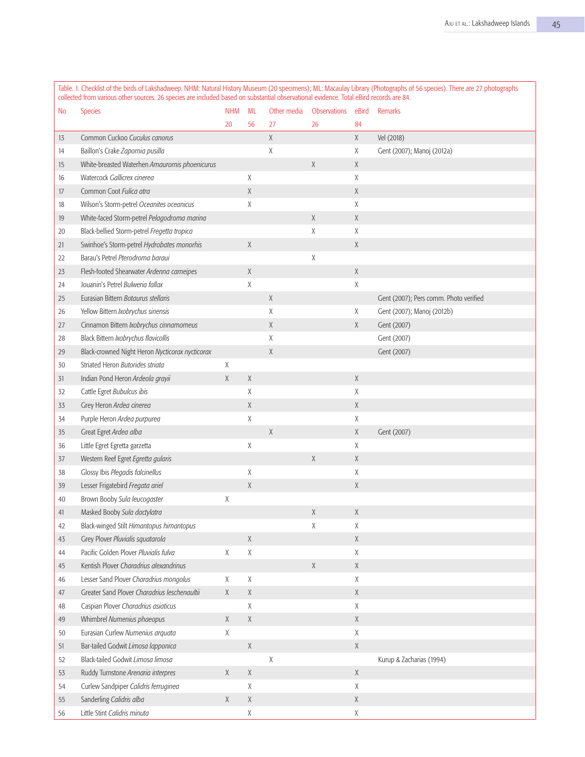| No | Species                                         | <b>NHM</b>  | ML          | Other media | Observations | eBird       | Remarks                                |
|----|-------------------------------------------------|-------------|-------------|-------------|--------------|-------------|----------------------------------------|
|    |                                                 | 20          | 56          | 27          | 26           | 84          |                                        |
| 13 | Common Cuckoo Cuculus canorus                   |             |             | χ           |              | $\chi$      | Vel (2018)                             |
| 14 | Baillon's Crake Zapornia pusilla                |             |             | χ           |              | χ           | Gent (2007); Manoj (2012a)             |
| 15 | White-breasted Waterhen Amaurornis phoenicurus  |             |             |             | $\chi$       | $\chi$      |                                        |
| 16 | Watercock Gallicrex cinerea                     |             | χ           |             |              | χ           |                                        |
| 17 | Common Coot Fulica atra                         |             | Χ           |             |              | $\chi$      |                                        |
| 18 | Wilson's Storm-petrel Oceanites oceanicus       |             | Χ           |             |              | χ           |                                        |
| 19 | White-faced Storm-petrel Pelagodroma marina     |             |             |             | $\chi$       | $\chi$      |                                        |
| 20 | Black-bellied Storm-petrel Fregetta tropica     |             |             |             | χ            | $\chi$      |                                        |
| 21 | Swinhoe's Storm-petrel Hydrobates monorhis      |             | $\chi$      |             |              | $\chi$      |                                        |
| 22 | Barau's Petrel Pterodroma baraui                |             |             |             | χ            |             |                                        |
| 23 | Flesh-footed Shearwater Ardenna carneipes       |             | Χ           |             |              | $\chi$      |                                        |
| 24 | Jouanin's Petrel Bulweria fallax                |             | χ           |             |              | Χ           |                                        |
| 25 | Eurasian Bittern Botaurus stellaris             |             |             | Χ           |              |             | Gent (2007); Pers comm. Photo verified |
| 26 | Yellow Bittern Ixobrychus sinensis              |             |             | χ           |              | X           | Gent (2007); Manoj (2012b)             |
| 27 | Cinnamon Bittern Ixobrychus cinnamomeus         |             |             | χ           |              | X           | Gent (2007)                            |
| 28 | Black Bittern Ixobrychus flavicollis            |             |             | χ           |              |             | Gent (2007)                            |
| 29 | Black-crowned Night Heron Nycticorax nycticorax |             |             | Χ           |              |             | Gent (2007)                            |
| 30 | Striated Heron Butorides striata                | χ           |             |             |              |             |                                        |
| 31 | Indian Pond Heron Ardeola grayii                | χ           | Χ           |             |              | $\chi$      |                                        |
| 32 | Cattle Egret Bubulcus ibis                      |             | χ           |             |              | $\chi$      |                                        |
| 33 | Grey Heron Ardea cinerea                        |             | χ           |             |              | Χ           |                                        |
| 34 | Purple Heron Ardea purpurea                     |             | χ           |             |              | χ           |                                        |
| 35 | Great Egret Ardea alba                          |             |             | $\mathsf X$ |              | X           | Gent (2007)                            |
| 36 | Little Egret Egretta garzetta                   |             | Χ           |             |              | Χ           |                                        |
| 37 | Western Reef Egret Egretta gularis              |             |             |             | $\chi$       | Χ           |                                        |
| 38 | Glossy Ibis Plegadis falcinellus                |             | χ           |             |              | χ           |                                        |
| 39 | Lesser Frigatebird Fregata ariel                |             | Χ           |             |              | Χ           |                                        |
| 40 | Brown Booby Sula leucogaster                    | Χ           |             |             |              |             |                                        |
| 41 | Masked Booby Sula dactylatra                    |             |             |             | $\chi$       | Χ           |                                        |
| 42 | Black-winged Stilt Himantopus himantopus        |             |             |             | Χ            | χ           |                                        |
| 43 | Grey Plover Pluvialis squatarola                |             | Χ           |             |              | Χ           |                                        |
| 44 | Pacific Golden Plover Pluvialis fulva           | χ           | $\mathsf X$ |             |              | Χ           |                                        |
| 45 | Kentish Plover Charadrius alexandrinus          |             |             |             | χ            | X           |                                        |
| 46 | Lesser Sand Plover Charadrius mongolus          | χ           | χ           |             |              | Χ           |                                        |
| 47 | Greater Sand Plover Charadrius leschenaultii    | $\mathsf X$ | $\chi$      |             |              | X           |                                        |
| 48 | Caspian Plover Charadrius asiaticus             |             | Χ           |             |              | χ           |                                        |
| 49 | Whimbrel Numenius phaeopus                      | Χ           | $\chi$      |             |              | Χ           |                                        |
| 50 | Eurasian Curlew Numenius arquata                | χ           |             |             |              | X           |                                        |
| 51 | Bar-tailed Godwit Limosa lapponica              |             | $\chi$      |             |              | $\mathsf X$ |                                        |
| 52 | Black-tailed Godwit Limosa limosa               |             |             | χ           |              |             | Kurup & Zacharias (1994)               |
| 53 | Ruddy Turnstone Arenaria interpres              | X           | Χ           |             |              | X           |                                        |
| 54 | Curlew Sandpiper Calidris ferruginea            |             | Χ           |             |              | χ           |                                        |
| 55 | Sanderling Calidris alba                        | Χ           | $\chi$      |             |              | $\chi$      |                                        |
| 56 | Little Stint Calidris minuta                    |             | Χ           |             |              | χ           |                                        |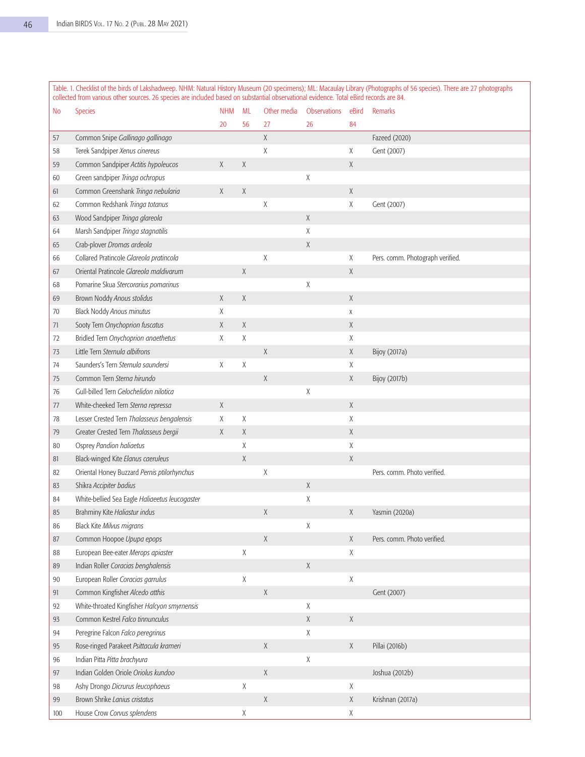| No  | <b>Species</b>                                 | <b>NHM</b> | ML          | Other media | <b>Observations</b> | eBird       | <b>Remarks</b>                   |
|-----|------------------------------------------------|------------|-------------|-------------|---------------------|-------------|----------------------------------|
|     |                                                | 20         | 56          | 27          | 26                  | 84          |                                  |
| 57  | Common Snipe Gallinago gallinago               |            |             | X           |                     |             | Fazeed (2020)                    |
| 58  | Terek Sandpiper Xenus cinereus                 |            |             | χ           |                     | Χ           | Gent (2007)                      |
| 59  | Common Sandpiper Actitis hypoleucos            | χ          | Χ           |             |                     | Χ           |                                  |
| 60  | Green sandpiper Tringa ochropus                |            |             |             | χ                   |             |                                  |
| 61  | Common Greenshank Tringa nebularia             | X          | χ           |             |                     | X           |                                  |
| 62  | Common Redshank Tringa totanus                 |            |             | $\mathsf X$ |                     | X           | Gent (2007)                      |
| 63  | Wood Sandpiper Tringa glareola                 |            |             |             | $\chi$              |             |                                  |
| 64  | Marsh Sandpiper Tringa stagnatilis             |            |             |             | χ                   |             |                                  |
| 65  | Crab-plover Dromas ardeola                     |            |             |             | Χ                   |             |                                  |
| 66  | Collared Pratincole Glareola pratincola        |            |             | Χ           |                     | χ           | Pers. comm. Photograph verified. |
| 67  | Oriental Pratincole Glareola maldivarum        |            | χ           |             |                     | X           |                                  |
| 68  | Pomarine Skua Stercorarius pomarinus           |            |             |             | χ                   |             |                                  |
| 69  | Brown Noddy Anous stolidus                     | X          | X           |             |                     | X           |                                  |
| 70  | Black Noddy Anous minutus                      | Χ          |             |             |                     | X           |                                  |
| 71  | Sooty Tern Onychoprion fuscatus                | X          | Χ           |             |                     | $\chi$      |                                  |
| 72  | Bridled Tern Onychoprion anaethetus            | Χ          | χ           |             |                     | X           |                                  |
| 73  | Little Tern Sternula albifrons                 |            |             | $\chi$      |                     | X           | <b>Bijoy</b> (2017a)             |
| 74  | Saunders's Tern Sternula saundersi             | Χ          | Χ           |             |                     | Χ           |                                  |
| 75  | Common Tern Sterna hirundo                     |            |             | X           |                     | X           | <b>Bijoy</b> (2017b)             |
| 76  | Gull-billed Tern Gelochelidon nilotica         |            |             |             | Χ                   |             |                                  |
| 77  | White-cheeked Tern Sterna repressa             | χ          |             |             |                     | X           |                                  |
| 78  | Lesser Crested Tern Thalasseus bengalensis     | χ          | Χ           |             |                     | $\chi$      |                                  |
| 79  | Greater Crested Tern Thalasseus bergii         | χ          | Χ           |             |                     | X           |                                  |
| 80  | Osprey Pandion haliaetus                       |            | Χ           |             |                     | X           |                                  |
| 81  | Black-winged Kite Elanus caeruleus             |            | Χ           |             |                     | X           |                                  |
| 82  | Oriental Honey Buzzard Pernis ptilorhynchus    |            |             | Χ           |                     |             | Pers. comm. Photo verified.      |
| 83  | Shikra Accipiter badius                        |            |             |             | Χ                   |             |                                  |
| 84  | White-bellied Sea Eagle Haliaeetus leucogaster |            |             |             | Χ                   |             |                                  |
| 85  | Brahminy Kite Haliastur indus                  |            |             | $\chi$      |                     | X           | Yasmin (2020a)                   |
| 86  | Black Kite Milvus migrans                      |            |             |             | Χ                   |             |                                  |
| 87  | Common Hoopoe Upupa epops                      |            |             | $\mathsf X$ |                     | Χ           | Pers. comm. Photo verified.      |
| 88  | European Bee-eater Merops apiaster             |            | χ           |             |                     | Χ           |                                  |
| 89  | Indian Roller Coracias benghalensis            |            |             |             | Χ                   |             |                                  |
| 90  | European Roller Coracias garrulus              |            | $\mathsf X$ |             |                     | Χ           |                                  |
| 91  | Common Kingfisher Alcedo atthis                |            |             | X           |                     |             | Gent (2007)                      |
| 92  | White-throated Kingfisher Halcyon smyrnensis   |            |             |             | χ                   |             |                                  |
| 93  | Common Kestrel Falco tinnunculus               |            |             |             | Χ                   | $\chi$      |                                  |
| 94  | Peregrine Falcon Falco peregrinus              |            |             |             | χ                   |             |                                  |
| 95  | Rose-ringed Parakeet Psittacula krameri        |            |             | χ           |                     | Χ           | Pillai (2016b)                   |
| 96  | Indian Pitta Pitta brachyura                   |            |             |             | Χ                   |             |                                  |
| 97  | Indian Golden Oriole Oriolus kundoo            |            |             | $\chi$      |                     |             | Joshua (2012b)                   |
| 98  | Ashy Drongo Dicrurus leucophaeus               |            | χ           |             |                     | Χ           |                                  |
| 99  | Brown Shrike Lanius cristatus                  |            |             | $\chi$      |                     | $\mathsf X$ | Krishnan (2017a)                 |
| 100 | House Crow Corvus splendens                    |            | Χ           |             |                     | Χ           |                                  |